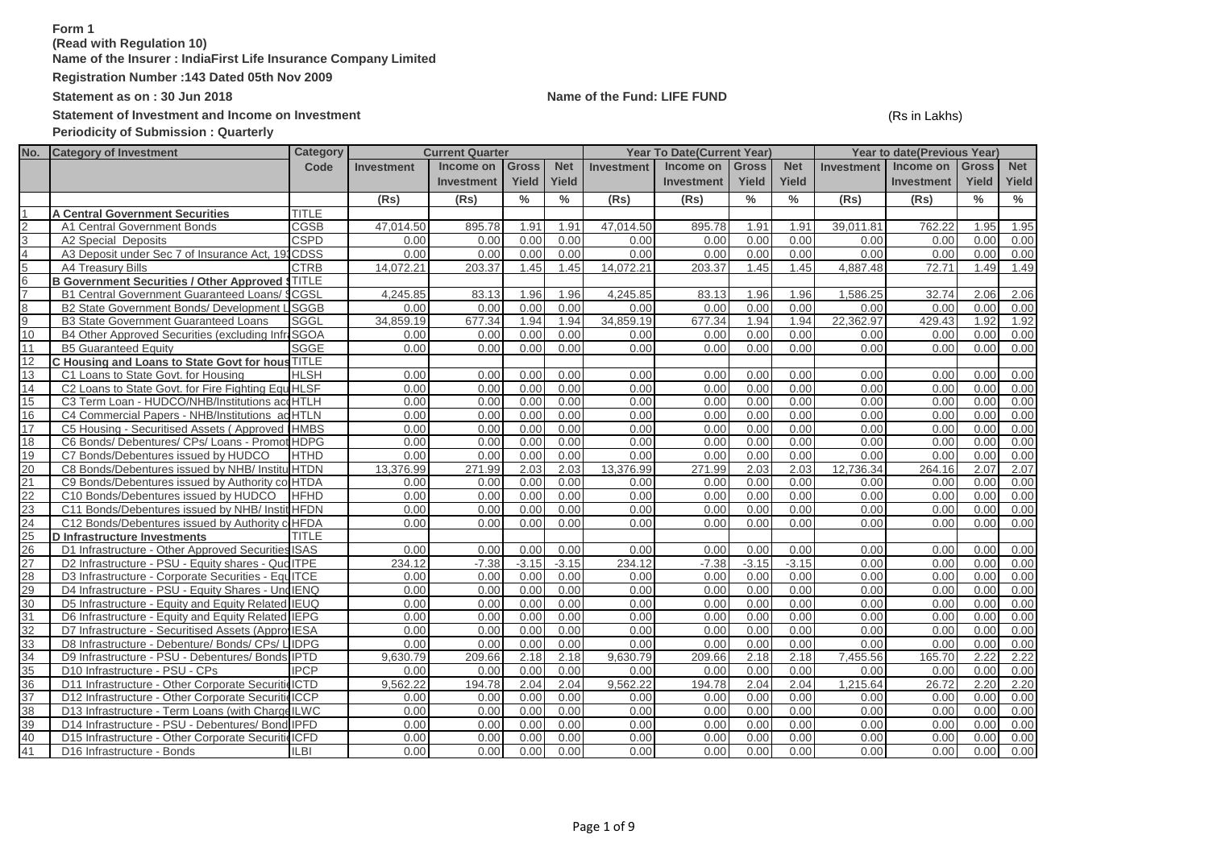# **Form 1**

**(Read with Regulation 10)**

**Name of the Insurer : IndiaFirst Life Insurance Company Limited**

**Registration Number :143 Dated 05th Nov 2009**

Statement of Investment and Income on Investment<br>
(Rs in Lakhs)

**Periodicity of Submission : Quarterly**

# **Statement as on : 30 Jun 2018 Name of the Fund: LIFE FUND**

| No.           | <b>Category of Investment</b>                          | Category     |            | <b>Current Quarter</b> |               |            |                   | <b>Year To Date(Current Year)</b> |              |            |                   | Year to date(Previous Year) |               |               |
|---------------|--------------------------------------------------------|--------------|------------|------------------------|---------------|------------|-------------------|-----------------------------------|--------------|------------|-------------------|-----------------------------|---------------|---------------|
|               |                                                        | Code         | Investment | Income on              | <b>Gross</b>  | <b>Net</b> | <b>Investment</b> | Income on                         | <b>Gross</b> | <b>Net</b> | <b>Investment</b> | Income on                   | <b>Gross</b>  | <b>Net</b>    |
|               |                                                        |              |            | <b>Investment</b>      | Yield         | Yield      |                   | <b>Investment</b>                 | Yield        | Yield      |                   | <b>Investment</b>           | Yield         | Yield         |
|               |                                                        |              | (Rs)       | (Rs)                   | $\frac{0}{0}$ | $\%$       | (Rs)              | (Rs)                              | $\%$         | %          | (Rs)              | (Rs)                        | $\frac{0}{0}$ | $\frac{0}{0}$ |
|               | <b>A Central Government Securities</b>                 | <b>TITLE</b> |            |                        |               |            |                   |                                   |              |            |                   |                             |               |               |
| $\mathcal{P}$ | A1 Central Government Bonds                            | CGSB         | 47,014.50  | 895.78                 | 1.91          | 1.91       | 47,014.50         | 895.78                            | 1.91         | 1.91       | 39,011.81         | 762.22                      | 1.95          | 1.95          |
| 3             | A2 Special Deposits                                    | <b>CSPD</b>  | 0.00       | 0.00                   | 0.00          | 0.00       | 0.00              | 0.00                              | 0.00         | 0.00       | 0.00              | 0.00                        | 0.00          | 0.00          |
|               | A3 Deposit under Sec 7 of Insurance Act, 193           | <b>CDSS</b>  | 0.00       | 0.00                   | 0.00          | 0.00       | 0.00              | 0.00                              | 0.00         | 0.00       | 0.00              | 0.00                        | 0.00          | 0.00          |
| 5             | A4 Treasury Bills                                      | <b>CTRB</b>  | 14,072.21  | 203.37                 | 1.45          | 1.45       | 14,072.21         | 203.37                            | 1.45         | 1.45       | 4.887.48          | 72.71                       | 1.49          | 1.49          |
| 6             | <b>B Government Securities / Other Approved STITLE</b> |              |            |                        |               |            |                   |                                   |              |            |                   |                             |               |               |
|               | <b>B1 Central Government Guaranteed Loans/ \$</b>      | CGSL         | 4.245.85   | 83.13                  | 1.96          | 1.96       | 4.245.85          | 83.13                             | 1.96         | 1.96       | 1.586.25          | 32.74                       | 2.06          | 2.06          |
| 8             | B2 State Government Bonds/ Development L               | <b>SGGB</b>  | 0.00       | 0.00                   | 0.00          | 0.00       | 0.00              | 0.00                              | 0.00         | 0.00       | 0.00              | 0.00                        | 0.00          | 0.00          |
| 9             | <b>B3 State Government Guaranteed Loans</b>            | SGGL         | 34,859.19  | 677.34                 | 1.94          | 1.94       | 34.859.19         | 677.34                            | 1.94         | 1.94       | 22,362.97         | 429.43                      | 1.92          | 1.92          |
| 10            | B4 Other Approved Securities (excluding InfraSGOA      |              | 0.00       | 0.00                   | 0.00          | 0.00       | 0.00              | 0.00                              | 0.00         | 0.00       | 0.00              | 0.00                        | 0.00          | 0.00          |
| 11            | <b>B5 Guaranteed Equity</b>                            | SGGE         | 0.00       | 0.00                   | 0.00          | 0.00       | 0.00              | 0.00                              | 0.00         | 0.00       | 0.00              | 0.00                        | 0.00          | 0.00          |
| 12            | C Housing and Loans to State Govt for hous TITLE       |              |            |                        |               |            |                   |                                   |              |            |                   |                             |               |               |
| 13            | C1 Loans to State Govt. for Housing                    | <b>HLSH</b>  | 0.00       | 0.00                   | 0.00          | 0.00       | 0.00              | 0.00                              | 0.00         | 0.00       | 0.00              | 0.00                        | 0.00          | 0.00          |
| 14            | C2 Loans to State Govt. for Fire Fighting Equ HLSF     |              | 0.00       | 0.00                   | 0.00          | 0.00       | 0.00              | 0.00                              | 0.00         | 0.00       | 0.00              | 0.00                        | 0.00          | 0.00          |
| 15            | C3 Term Loan - HUDCO/NHB/Institutions accHTLH          |              | 0.00       | 0.00                   | 0.00          | 0.00       | 0.00              | 0.00                              | 0.00         | 0.00       | 0.00              | 0.00                        | 0.00          | 0.00          |
| 16            | C4 Commercial Papers - NHB/Institutions ad HTLN        |              | 0.00       | 0.00                   | 0.00          | 0.00       | 0.00              | 0.00                              | 0.00         | 0.00       | 0.00              | 0.00                        | 0.00          | 0.00          |
| 17            | C5 Housing - Securitised Assets (Approved IHMBS        |              | 0.00       | 0.00                   | 0.00          | 0.00       | 0.00              | 0.00                              | 0.00         | 0.00       | 0.00              | 0.00                        | 0.00          | 0.00          |
| 18            | C6 Bonds/ Debentures/ CPs/ Loans - Promot HDPG         |              | 0.00       | 0.00                   | 0.00          | 0.00       | 0.00              | 0.00                              | 0.00         | 0.00       | 0.00              | 0.00                        | 0.00          | 0.00          |
| 19            | C7 Bonds/Debentures issued by HUDCO                    | <b>HTHD</b>  | 0.00       | 0.00                   | 0.00          | 0.00       | 0.00              | 0.00                              | 0.00         | 0.00       | 0.00              | 0.00                        | 0.00          | 0.00          |
| 20            | C8 Bonds/Debentures issued by NHB/ Institu HTDN        |              | 13,376.99  | 271.99                 | 2.03          | 2.03       | 13,376.99         | 271.99                            | 2.03         | 2.03       | 12,736.34         | 264.16                      | 2.07          | 2.07          |
| 21            | C9 Bonds/Debentures issued by Authority co HTDA        |              | 0.00       | 0.00                   | 0.00          | 0.00       | 0.00              | 0.00                              | 0.00         | 0.00       | 0.00              | 0.00                        | 0.00          | 0.00          |
| 22            | C10 Bonds/Debentures issued by HUDCO                   | <b>HFHD</b>  | 0.00       | 0.00                   | 0.00          | 0.00       | 0.00              | 0.00                              | 0.00         | 0.00       | 0.00              | 0.00                        | 0.00          | 0.00          |
| 23            | C11 Bonds/Debentures issued by NHB/ Instit HFDN        |              | 0.00       | 0.00                   | 0.00          | 0.00       | 0.00              | 0.00                              | 0.00         | 0.00       | 0.00              | 0.00                        | 0.00          | 0.00          |
| 24            | C12 Bonds/Debentures issued by Authority c HFDA        |              | 0.00       | 0.00                   | 0.00          | 0.00       | 0.00              | 0.00                              | 0.00         | 0.00       | 0.00              | 0.00                        | 0.00          | 0.00          |
| 25            | D Infrastructure Investments                           | <b>TITLE</b> |            |                        |               |            |                   |                                   |              |            |                   |                             |               |               |
| 26            | D1 Infrastructure - Other Approved Securities ISAS     |              | 0.00       | 0.00                   | 0.00          | 0.00       | 0.00              | 0.00                              | 0.00         | 0.00       | 0.00              | 0.00                        | 0.00          | 0.00          |
| 27            | D2 Infrastructure - PSU - Equity shares - Qud ITPE     |              | 234.12     | $-7.38$                | $-3.15$       | $-3.15$    | 234.12            | $-7.38$                           | $-3.15$      | $-3.15$    | 0.00              | 0.00                        | 0.00          | 0.00          |
| 28            | D3 Infrastructure - Corporate Securities - EquITCE     |              | 0.00       | 0.00                   | 0.00          | 0.00       | 0.00              | 0.00                              | 0.00         | 0.00       | 0.00              | 0.00                        | 0.00          | 0.00          |
| 29            | D4 Infrastructure - PSU - Equity Shares - Und IENQ     |              | 0.00       | 0.00                   | 0.00          | 0.00       | 0.00              | 0.00                              | 0.00         | 0.00       | 0.00              | 0.00                        | 0.00          | 0.00          |
| 30            | D5 Infrastructure - Equity and Equity Related IEUQ     |              | 0.00       | 0.00                   | 0.00          | 0.00       | 0.00              | 0.00                              | 0.00         | 0.00       | 0.00              | 0.00                        | 0.00          | 0.00          |
| 31            | D6 Infrastructure - Equity and Equity Related IEPG     |              | 0.00       | 0.00                   | 0.00          | 0.00       | 0.00              | 0.00                              | 0.00         | 0.00       | 0.00              | 0.00                        | 0.00          | 0.00          |
| 32            | D7 Infrastructure - Securitised Assets (Appro IESA     |              | 0.00       | 0.00                   | 0.00          | 0.00       | 0.00              | 0.00                              | 0.00         | 0.00       | 0.00              | 0.00                        | 0.00          | 0.00          |
| 33            | D8 Infrastructure - Debenture/ Bonds/ CPs/ LIDPG       |              | 0.00       | 0.00                   | 0.00          | 0.00       | 0.00              | 0.00                              | 0.00         | 0.00       | 0.00              | 0.00                        | 0.00          | 0.00          |
| 34            | D9 Infrastructure - PSU - Debentures/ Bonds IPTD       |              | 9,630.79   | 209.66                 | 2.18          | 2.18       | 9,630.79          | 209.66                            | 2.18         | 2.18       | 7,455.56          | 165.70                      | 2.22          | 2.22          |
| 35            | D10 Infrastructure - PSU - CPs                         | <b>IPCP</b>  | 0.00       | 0.00                   | 0.00          | 0.00       | 0.00              | 0.00                              | 0.00         | 0.00       | 0.00              | 0.00                        | 0.00          | 0.00          |
| 36            | D11 Infrastructure - Other Corporate Securitie ICTD    |              | 9.562.22   | 194.78                 | 2.04          | 2.04       | 9.562.22          | 194.78                            | 2.04         | 2.04       | 1.215.64          | 26.72                       | 2.20          | 2.20          |
| 37            | D12 Infrastructure - Other Corporate Securitie ICCP    |              | 0.00       | 0.00                   | 0.00          | 0.00       | 0.00              | 0.00                              | 0.00         | 0.00       | 0.00              | 0.00                        | 0.00          | 0.00          |
| 38            | D13 Infrastructure - Term Loans (with Charge ILWC      |              | 0.00       | 0.00                   | 0.00          | 0.00       | 0.00              | 0.00                              | 0.00         | 0.00       | 0.00              | 0.00                        | 0.00          | 0.00          |
| 39            | D14 Infrastructure - PSU - Debentures/ Bond IPFD       |              | 0.00       | 0.00                   | 0.00          | 0.00       | 0.00              | 0.00                              | 0.00         | 0.00       | 0.00              | 0.00                        | 0.00          | 0.00          |
| 40            | D15 Infrastructure - Other Corporate Securitie ICFD    |              | 0.00       | 0.00                   | 0.00          | 0.00       | 0.00              | 0.00                              | 0.00         | 0.00       | 0.00              | 0.00                        | 0.00          | 0.00          |
| 41            | D16 Infrastructure - Bonds                             | <b>ILBI</b>  | 0.00       | 0.00                   | 0.00          | 0.00       | 0.00              | 0.00                              | 0.00         | 0.00       | 0.00              | 0.00                        | 0.00          | 0.00          |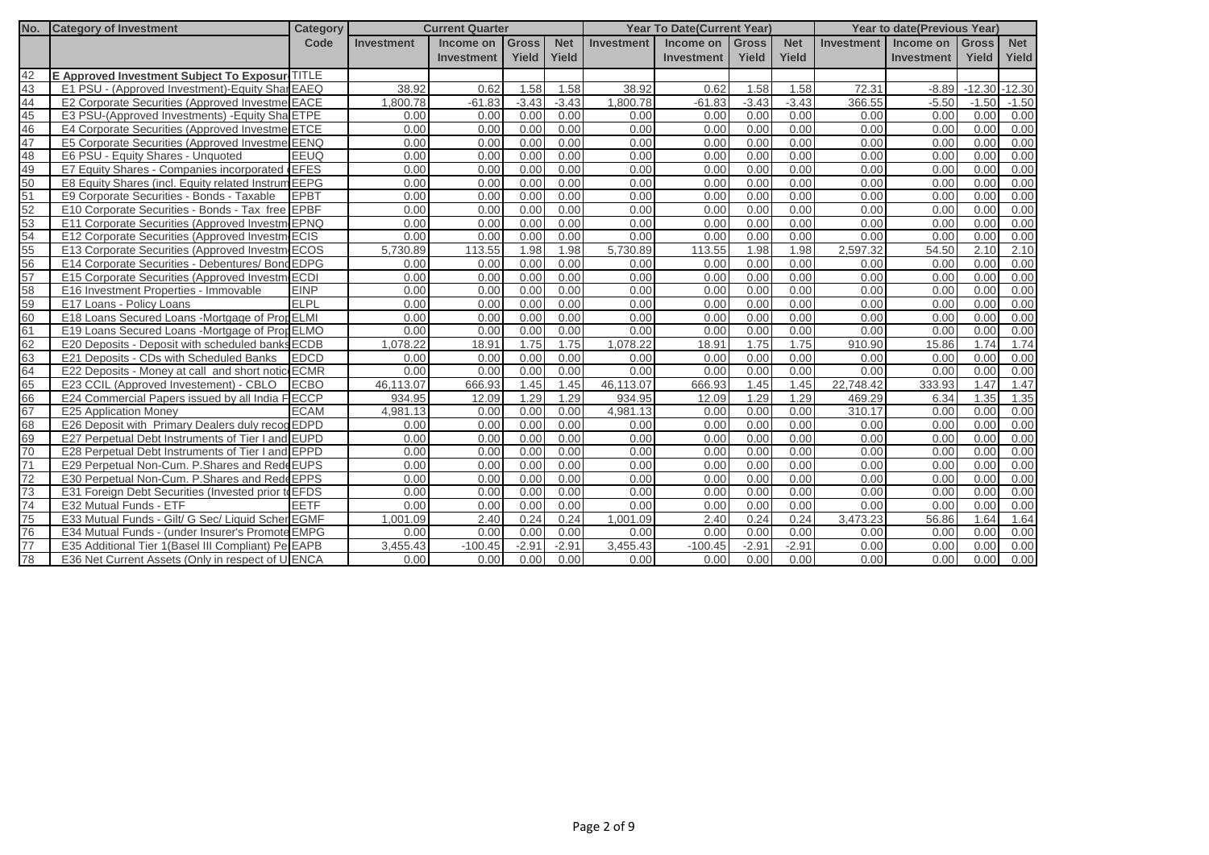| No. | <b>Category of Investment</b>                       | <b>Category</b> | <b>Current Quarter</b><br>Income on<br>Gross |                   |         | <b>Year To Date(Current Year)</b> |                   |                   |              | <b>Year to date(Previous Year)</b> |                   |                   |                  |            |
|-----|-----------------------------------------------------|-----------------|----------------------------------------------|-------------------|---------|-----------------------------------|-------------------|-------------------|--------------|------------------------------------|-------------------|-------------------|------------------|------------|
|     |                                                     | Code            | Investment                                   |                   |         | <b>Net</b>                        | <b>Investment</b> | Income on         | <b>Gross</b> | <b>Net</b>                         | <b>Investment</b> | Income on         | <b>Gross</b>     | <b>Net</b> |
|     |                                                     |                 |                                              | <b>Investment</b> | Yield   | Yield                             |                   | <b>Investment</b> | Yield        | Yield                              |                   | <b>Investment</b> | Yield            | Yield      |
| 42  | E Approved Investment Subject To Exposure TITLE     |                 |                                              |                   |         |                                   |                   |                   |              |                                    |                   |                   |                  |            |
| 43  | E1 PSU - (Approved Investment)-Equity Shar EAEQ     |                 | 38.92                                        | 0.62              | 1.58    | 1.58                              | 38.92             | 0.62              | 1.58         | 1.58                               | 72.31             | $-8.89$           | $-12.30 - 12.30$ |            |
| 44  | E2 Corporate Securities (Approved Investme EACE     |                 | 1,800.78                                     | $-61.83$          | $-3.43$ | $-3.43$                           | 1.800.78          | $-61.83$          | $-3.43$      | $-3.43$                            | 366.55            | $-5.50$           | $-1.50$          | $-1.50$    |
| 45  | E3 PSU-(Approved Investments) - Equity Sha ETPE     |                 | 0.00                                         | 0.00              | 0.00    | 0.00                              | 0.00              | 0.00              | 0.00         | 0.00                               | 0.00              | 0.00              | 0.00             | 0.00       |
| 46  | E4 Corporate Securities (Approved Investme ETCE     |                 | 0.00                                         | 0.00              | 0.00    | 0.00                              | 0.00              | 0.00              | 0.00         | 0.00                               | 0.00              | 0.00              | 0.00             | 0.00       |
| 47  | E5 Corporate Securities (Approved Investme EENQ     |                 | 0.00                                         | 0.00              | 0.00    | 0.00                              | 0.00              | 0.00              | 0.00         | 0.00                               | 0.00              | 0.00              | 0.00             | 0.00       |
| 48  | E6 PSU - Equity Shares - Unquoted                   | <b>EEUQ</b>     | 0.00                                         | 0.00              | 0.00    | 0.00                              | 0.00              | 0.00              | 0.00         | 0.00                               | 0.00              | 0.00              | 0.00             | 0.00       |
| 49  | E7 Equity Shares - Companies incorporated (EFES)    |                 | 0.00                                         | 0.00              | 0.00    | 0.00                              | 0.00              | 0.00              | 0.00         | 0.00                               | 0.00              | 0.00              | 0.00             | 0.00       |
| 50  | E8 Equity Shares (incl. Equity related Instrum EEPG |                 | 0.00                                         | 0.00              | 0.00    | 0.00                              | 0.00              | 0.00              | 0.00         | 0.00                               | 0.00              | 0.00              | 0.00             | 0.00       |
| 51  | E9 Corporate Securities - Bonds - Taxable           | <b>EPBT</b>     | 0.00                                         | 0.00              | 0.00    | 0.00                              | 0.00              | 0.00              | 0.00         | 0.00                               | 0.00              | 0.00              | 0.00             | 0.00       |
| 52  | E10 Corporate Securities - Bonds - Tax free EPBF    |                 | 0.00                                         | 0.00              | 0.00    | 0.00                              | 0.00              | 0.00              | 0.00         | 0.00                               | 0.00              | 0.00              | 0.00             | 0.00       |
| 53  | E11 Corporate Securities (Approved Investm EPNQ     |                 | 0.00                                         | 0.00              | 0.00    | 0.00                              | 0.00              | 0.00              | 0.00         | 0.00                               | 0.00              | 0.00              | 0.00             | 0.00       |
| 54  | E12 Corporate Securities (Approved Investm ECIS     |                 | 0.00                                         | 0.00              | 0.00    | 0.00                              | 0.00              | 0.00              | 0.00         | 0.00                               | 0.00              | 0.00              | 0.00             | 0.00       |
| 55  | E13 Corporate Securities (Approved Investment       | <b>ECOS</b>     | 5.730.89                                     | 113.55            | 1.98    | 1.98                              | 5.730.89          | 113.55            | 1.98         | 1.98                               | 2.597.32          | 54.50             | 2.10             | 2.10       |
| 56  | E14 Corporate Securities - Debentures/ Bond EDPG    |                 | 0.00                                         | 0.00              | 0.00    | 0.00                              | 0.00              | 0.00              | 0.00         | 0.00                               | 0.00              | 0.00              | 0.00             | 0.00       |
| 57  | E15 Corporate Securities (Approved Investm ECDI     |                 | 0.00                                         | 0.00              | 0.00    | 0.00                              | 0.00              | 0.00              | 0.00         | 0.00                               | 0.00              | 0.00              | 0.00             | 0.00       |
| 58  | E16 Investment Properties - Immovable               | <b>EINP</b>     | 0.00                                         | 0.00              | 0.00    | 0.00                              | 0.00              | 0.00              | 0.00         | 0.00                               | 0.00              | 0.00              | 0.00             | 0.00       |
| 59  | E17 Loans - Policy Loans                            | <b>ELPL</b>     | 0.00                                         | 0.00              | 0.00    | 0.00                              | 0.00              | 0.00              | 0.00         | 0.00                               | 0.00              | 0.00              | 0.00             | 0.00       |
| 60  | E18 Loans Secured Loans - Mortgage of Prop ELMI     |                 | 0.00                                         | 0.00              | 0.00    | 0.00                              | 0.00              | 0.00              | 0.00         | 0.00                               | 0.00              | 0.00              | 0.00             | 0.00       |
| 61  | E19 Loans Secured Loans -Mortgage of PropELMO       |                 | 0.00                                         | 0.00              | 0.00    | 0.00                              | 0.00              | 0.00              | 0.00         | 0.00                               | 0.00              | 0.00              | 0.00             | 0.00       |
| 62  | E20 Deposits - Deposit with scheduled banks ECDB    |                 | 1,078.22                                     | 18.91             | 1.75    | 1.75                              | 1.078.22          | 18.91             | 1.75         | 1.75                               | 910.90            | 15.86             | 1.74             | 1.74       |
| 63  | E21 Deposits - CDs with Scheduled Banks             | <b>EDCD</b>     | 0.00                                         | 0.00              | 0.00    | 0.00                              | 0.00              | 0.00              | 0.00         | 0.00                               | 0.00              | 0.00              | 0.00             | 0.00       |
| 64  | E22 Deposits - Money at call and short notic ECMR   |                 | 0.00                                         | 0.00              | 0.00    | 0.00                              | 0.00              | 0.00              | 0.00         | 0.00                               | 0.00              | 0.00              | 0.00             | 0.00       |
| 65  | E23 CCIL (Approved Investement) - CBLO              | <b>ECBO</b>     | 46.113.07                                    | 666.93            | 1.45    | 1.45                              | 46.113.07         | 666.93            | 1.45         | 1.45                               | 22,748.42         | 333.93            | 1.47             | 1.47       |
| 66  | E24 Commercial Papers issued by all India FECCP     |                 | 934.95                                       | 12.09             | 1.29    | 1.29                              | 934.95            | 12.09             | 1.29         | 1.29                               | 469.29            | 6.34              | 1.35             | 1.35       |
| 67  | <b>E25 Application Money</b>                        | <b>ECAM</b>     | 4,981.13                                     | 0.00              | 0.00    | 0.00                              | 4,981.13          | 0.00              | 0.00         | 0.00                               | 310.17            | 0.00              | 0.00             | 0.00       |
| 68  | E26 Deposit with Primary Dealers duly recog EDPD    |                 | 0.00                                         | 0.00              | 0.00    | 0.00                              | 0.00              | 0.00              | 0.00         | 0.00                               | 0.00              | 0.00              | 0.00             | 0.00       |
| 69  | E27 Perpetual Debt Instruments of Tier I and EUPD   |                 | 0.00                                         | 0.00              | 0.00    | 0.00                              | 0.00              | 0.00              | 0.00         | 0.00                               | 0.00              | 0.00              | 0.00             | 0.00       |
| 70  | E28 Perpetual Debt Instruments of Tier I and EPPD   |                 | 0.00                                         | 0.00              | 0.00    | 0.00                              | 0.00              | 0.00              | 0.00         | 0.00                               | 0.00              | 0.00              | 0.00             | 0.00       |
| 71  | E29 Perpetual Non-Cum. P.Shares and Rede EUPS       |                 | 0.00                                         | 0.00              | 0.00    | 0.00                              | 0.00              | 0.00              | 0.00         | 0.00                               | 0.00              | 0.00              | 0.00             | 0.00       |
| 72  | E30 Perpetual Non-Cum. P. Shares and Rede EPPS      |                 | 0.00                                         | 0.00              | 0.00    | 0.00                              | 0.00              | 0.00              | 0.00         | 0.00                               | 0.00              | 0.00              | 0.00             | 0.00       |
| 73  | E31 Foreign Debt Securities (Invested prior to EFDS |                 | 0.00                                         | 0.00              | 0.00    | 0.00                              | 0.00              | 0.00              | 0.00         | 0.00                               | 0.00              | 0.00              | 0.00             | 0.00       |
| 74  | E32 Mutual Funds - ETF                              | <b>EETF</b>     | 0.00                                         | 0.00              | 0.00    | 0.00                              | 0.00              | 0.00              | 0.00         | 0.00                               | 0.00              | 0.00              | 0.00             | 0.00       |
| 75  | E33 Mutual Funds - Gilt/ G Sec/ Liquid Scher EGMF   |                 | 1.001.09                                     | 2.40              | 0.24    | 0.24                              | 1.001.09          | 2.40              | 0.24         | 0.24                               | 3,473.23          | 56.86             | 1.64             | 1.64       |
| 76  | E34 Mutual Funds - (under Insurer's Promote EMPG    |                 | 0.00                                         | 0.00              | 0.00    | 0.00                              | 0.00              | 0.00              | 0.00         | 0.00                               | 0.00              | 0.00              | 0.00             | 0.00       |
| 77  | E35 Additional Tier 1 (Basel III Compliant) PelEAPB |                 | 3.455.43                                     | $-100.45$         | $-2.91$ | $-2.91$                           | 3.455.43          | $-100.45$         | $-2.91$      | $-2.91$                            | 0.00              | 0.00              | 0.00             | 0.00       |
| 78  | E36 Net Current Assets (Only in respect of U ENCA   |                 | 0.00                                         | 0.00              | 0.00    | 0.00                              | 0.00              | 0.00              | 0.00         | 0.00                               | 0.00              | 0.00              | 0.00             | 0.00       |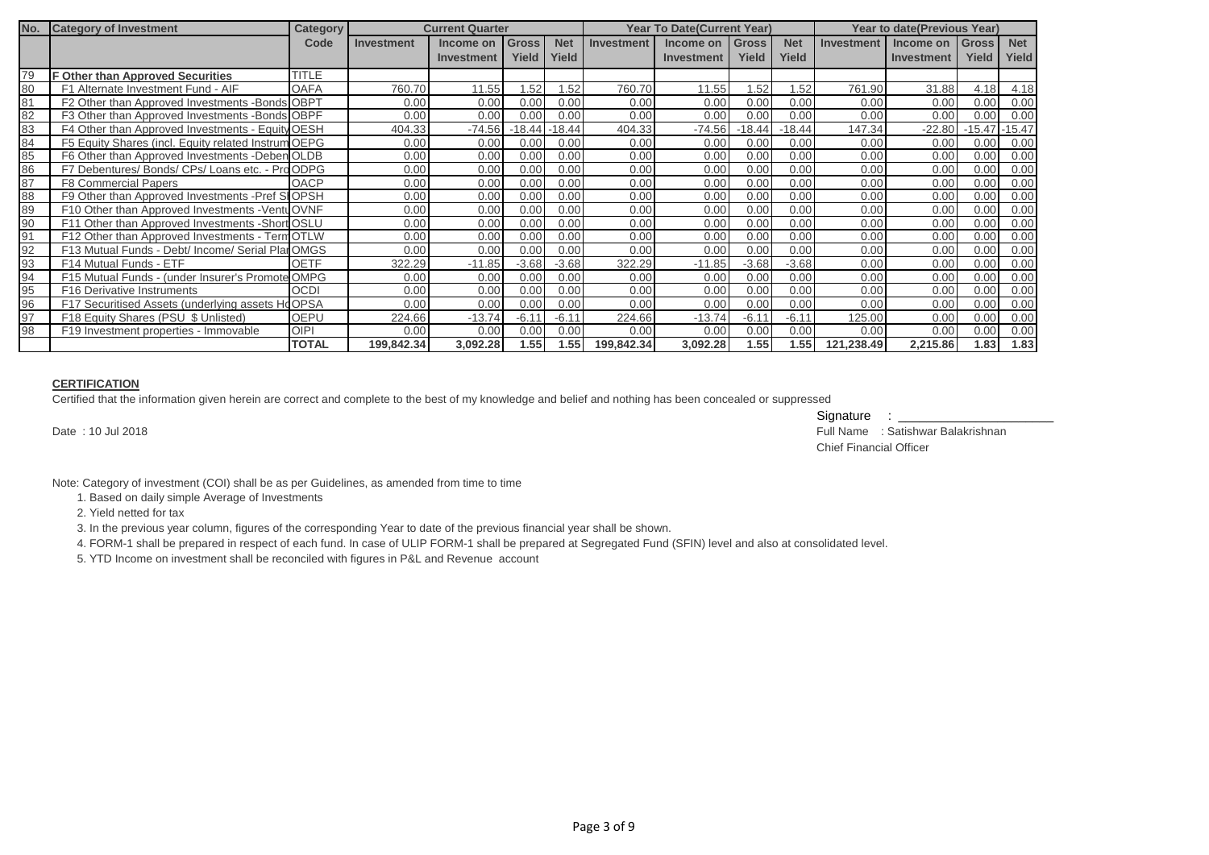| No. | <b>Category of Investment</b>                       | <b>Category</b> | <b>Current Quarter</b> |            |              |            | <b>Year To Date (Current Year)</b> |                   |              |            | <b>Year to date(Previous Year)</b> |            |              |            |
|-----|-----------------------------------------------------|-----------------|------------------------|------------|--------------|------------|------------------------------------|-------------------|--------------|------------|------------------------------------|------------|--------------|------------|
|     |                                                     | Code            | Investment             | Income on  | <b>Gross</b> | <b>Net</b> | <b>Investment</b>                  | Income on         | <b>Gross</b> | <b>Net</b> | <b>Investment</b>                  | Income on  | <b>Gross</b> | <b>Net</b> |
|     |                                                     |                 |                        | Investment | Yield        | Yield      |                                    | <b>Investment</b> | Yield        | Yield      |                                    | Investment | Yield        | Yield      |
| 79  | <b>F Other than Approved Securities</b>             | <b>TITLE</b>    |                        |            |              |            |                                    |                   |              |            |                                    |            |              |            |
| 80  | F1 Alternate Investment Fund - AIF                  | <b>OAFA</b>     | 760.70                 | 11.55      | .52          | 1.52       | 760.70                             | 11.55             | .52          | .52        | 761.90                             | 31.88      | 4.18         | 4.18       |
| 81  | F2 Other than Approved Investments -Bonds OBPT      |                 | 0.00                   | 0.00       | 0.00         | 0.00       | 0.00                               | 0.00              | 0.00         | 0.00       | 0.00                               | 0.00       | 0.00         | 0.00       |
| 82  | F3 Other than Approved Investments -Bonds OBPF      |                 | 0.00                   | 0.00       | 0.00         | 0.00       | 0.00                               | 0.00              | 0.00         | 0.00       | 0.00                               | 0.00       | 0.00         | 0.00       |
| 83  | F4 Other than Approved Investments - Equity OESH    |                 | 404.33                 | $-74.56$   | $-18.44$     | $-18.44$   | 404.33                             | $-74.56$          | $-18.44$     | $-18.44$   | 147.34                             | $-22.80$   | $-15.47$     | $-15.47$   |
| 84  | F5 Equity Shares (incl. Equity related Instrum OEPG |                 | 0.00                   | 0.00       | 0.00         | 0.00       | 0.00                               | 0.00              | 0.00         | 0.00       | 0.00                               | 0.00       | 0.00         | 0.00       |
| 85  | F6 Other than Approved Investments -Deben OLDB      |                 | 0.00                   | 0.00       | 0.00         | 0.00       | 0.00                               | 0.00              | 0.00         | 0.00       | 0.00                               | 0.00       | 0.00         | 0.00       |
| 86  | F7 Debentures/ Bonds/ CPs/ Loans etc. - Pro ODPG    |                 | 0.00                   | 0.00       | 0.00         | 0.00       | 0.00                               | 0.00              | 0.00         | 0.00       | 0.00                               | 0.00       | 0.00         | 0.00       |
| 87  | <b>F8 Commercial Papers</b>                         | <b>OACP</b>     | 0.00                   | 0.00       | 0.00         | 0.00       | 0.00                               | 0.00              | 0.00         | 0.00       | 0.00                               | 0.00       | 0.00         | 0.00       |
| 88  | F9 Other than Approved Investments -Pref SIOPSH     |                 | 0.00                   | 0.00       | 0.00         | 0.00       | 0.00                               | 0.00              | 0.00         | 0.00       | 0.00                               | 0.00       | 0.00         | 0.00       |
| 89  | F10 Other than Approved Investments - Ventu OVNF    |                 | 0.00                   | 0.00       | 0.00         | 0.00       | 0.00                               | 0.00              | 0.00         | 0.00       | 0.00                               | 0.00       | 0.00         | 0.00       |
| 90  | F11 Other than Approved Investments - Short OSLU    |                 | 0.00                   | 0.00       | 0.00         | 0.00       | 0.00                               | 0.00              | 0.00         | 0.00       | 0.00                               | 0.00       | 0.00         | 0.00       |
| 91  | F12 Other than Approved Investments - Term OTLW     |                 | 0.00                   | 0.00       | 0.00         | 0.00       | 0.00                               | 0.00              | 0.00         | 0.00       | 0.00                               | 0.00       | 0.00         | 0.00       |
| 92  | F13 Mutual Funds - Debt/ Income/ Serial PlanOMGS    |                 | 0.00                   | 0.00       | 0.00         | 0.00       | 0.00                               | 0.00              | 0.00         | 0.00       | 0.00                               | 0.00       | 0.00         | 0.00       |
| 93  | F14 Mutual Funds - ETF                              | <b>OETF</b>     | 322.29                 | $-11.85$   | $-3.68$      | $-3.68$    | 322.29                             | $-11.85$          | $-3.68$      | $-3.68$    | 0.00                               | 0.00       | 0.00         | 0.00       |
| 94  | F15 Mutual Funds - (under Insurer's Promote OMPG    |                 | 0.00                   | 0.00       | 0.00         | 0.00       | 0.00                               | 0.00              | 0.00         | 0.00       | 0.00                               | 0.00       | 0.00         | 0.00       |
| 95  | F16 Derivative Instruments                          | <b>OCDI</b>     | 0.00                   | 0.00       | 0.00         | 0.00       | 0.00                               | 0.00              | 0.00         | 0.00       | 0.00                               | 0.00       | 0.00         | 0.00       |
| 96  | F17 Securitised Assets (underlying assets HoOPSA    |                 | 0.00                   | 0.00       | 0.00         | 0.00       | 0.00                               | 0.00              | 0.00         | 0.00       | 0.00                               | 0.00       | 0.00         | 0.00       |
| 97  | F18 Equity Shares (PSU \$ Unlisted)                 | <b>OEPU</b>     | 224.66                 | $-13.74$   | $-6.1$       | $-6.11$    | 224.66                             | $-13.74$          | $-6.11$      | $-6.11$    | 125.00                             | 0.00       | 0.00         | 0.00       |
| 98  | F19 Investment properties - Immovable               | <b>OIPI</b>     | 0.00                   | 0.00       | 0.00         | 0.00       | 0.00                               | 0.00              | 0.00         | 0.00       | 0.00                               | 0.00       | 0.00         | 0.00       |
|     |                                                     | <b>TOTAL</b>    | 199,842.34             | 3,092.28   | 1.55         | 1.55       | 199,842.34                         | 3,092.28          | 1.55         | 1.55       | 121,238.49                         | 2,215.86   | 1.83         | 1.83       |

#### **CERTIFICATION**

Certified that the information given herein are correct and complete to the best of my knowledge and belief and nothing has been concealed or suppressed

Signature : \_\_\_\_\_\_\_\_\_\_\_\_\_\_\_\_\_\_\_\_\_\_

Date : 10 Jul 2018 Full Name : Satishwar Balakrishnan Chief Financial Officer

Note: Category of investment (COI) shall be as per Guidelines, as amended from time to time

1. Based on daily simple Average of Investments

2. Yield netted for tax

3. In the previous year column, figures of the corresponding Year to date of the previous financial year shall be shown.

4. FORM-1 shall be prepared in respect of each fund. In case of ULIP FORM-1 shall be prepared at Segregated Fund (SFIN) level and also at consolidated level.

5. YTD Income on investment shall be reconciled with figures in P&L and Revenue account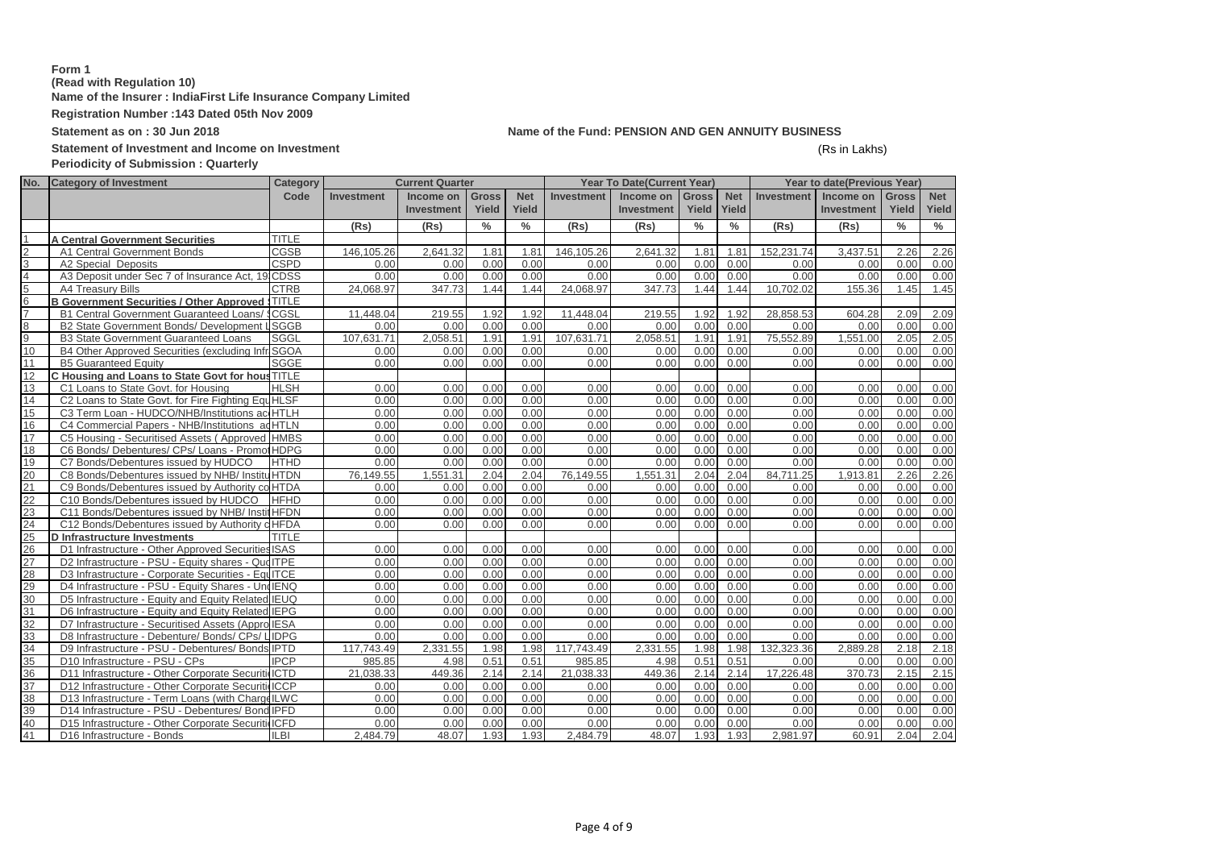## **Form 1 (Read with Regulation 10) Name of the Insurer : IndiaFirst Life Insurance Company Limited Registration Number :143 Dated 05th Nov 2009**

## **Statement as on : 30 Jun 2018 Name of the Fund: PENSION AND GEN ANNUITY BUSINESS**

# Statement of Investment and Income on Investment **and Income on Investment** (Rs in Lakhs)

# **Periodicity of Submission : Quarterly**

| No.            | <b>Category of Investment</b>                      | Category     |            | <b>Current Quarter</b> |               |               |                   | <b>Year To Date(Current Year)</b> |               |               |                   | Year to date(Previous Year) |               |               |
|----------------|----------------------------------------------------|--------------|------------|------------------------|---------------|---------------|-------------------|-----------------------------------|---------------|---------------|-------------------|-----------------------------|---------------|---------------|
|                |                                                    | Code         | Investment | Income on              | <b>Gross</b>  | <b>Net</b>    | <b>Investment</b> | Income on                         | <b>Gross</b>  | <b>Net</b>    | <b>Investment</b> | Income on                   | <b>Gross</b>  | <b>Net</b>    |
|                |                                                    |              |            | <b>Investment</b>      | Yield         | Yield         |                   | <b>Investment</b>                 | Yield         | Yield         |                   | <b>Investment</b>           | <b>Yield</b>  | Yield         |
|                |                                                    |              | (Rs)       | (Rs)                   | $\frac{0}{0}$ | $\frac{0}{0}$ | (Rs)              | (Rs)                              | $\frac{0}{0}$ | $\frac{0}{0}$ | (Rs)              | (Rs)                        | $\frac{0}{0}$ | $\frac{0}{0}$ |
|                | <b>A Central Government Securities</b>             | <b>TITLE</b> |            |                        |               |               |                   |                                   |               |               |                   |                             |               |               |
| $\overline{2}$ | A1 Central Government Bonds                        | <b>CGSB</b>  | 146.105.26 | 2.641.32               | 1.81          | 1.81          | 146.105.26        | 2.641.32                          | 1.81          | 1.81          | 152.231.74        | 3.437.51                    | 2.26          | 2.26          |
| 3              | A2 Special Deposits                                | <b>CSPD</b>  | 0.00       | 0.00                   | 0.00          | 0.00          | 0.00              | 0.00                              | 0.00          | 0.00          | 0.00              | 0.00                        | 0.00          | 0.00          |
| $\overline{4}$ | A3 Deposit under Sec 7 of Insurance Act, 19 CDSS   |              | 0.00       | 0.00                   | 0.00          | 0.00          | 0.00              | 0.00                              | 0.00          | 0.00          | 0.00              | 0.00                        | 0.00          | 0.00          |
| 5              | A4 Treasury Bills                                  | <b>CTRB</b>  | 24,068.97  | 347.73                 | 1.44          | 1.44          | 24,068.97         | 347.73                            | 1.44          | 1.44          | 10,702.02         | 155.36                      | 1.45          | 1.45          |
| 6              | <b>B Government Securities / Other Approved</b>    | <b>TITLE</b> |            |                        |               |               |                   |                                   |               |               |                   |                             |               |               |
| $\overline{7}$ | B1 Central Government Guaranteed Loans/ \$CGSL     |              | 11,448.04  | 219.55                 | 1.92          | 1.92          | 11.448.04         | 219.55                            | 1.92          | 1.92          | 28,858.53         | 604.28                      | 2.09          | 2.09          |
| 8              | B2 State Government Bonds/ Development             | <b>LSGGB</b> | 0.00       | 0.00                   | 0.00          | 0.00          | 0.00              | 0.00                              | 0.00          | 0.00          | 0.00              | 0.00                        | 0.00          | 0.00          |
| $\overline{9}$ | <b>B3 State Government Guaranteed Loans</b>        | <b>SGGL</b>  | 107,631.71 | 2,058.51               | 1.91          | 1.91          | 107,631.71        | 2.058.51                          | 1.91          | 1.91          | 75,552.89         | 1,551.00                    | 2.05          | 2.05          |
| 10             | B4 Other Approved Securities (excluding Infr SGOA  |              | 0.00       | 0.00                   | 0.00          | 0.00          | 0.00              | 0.00                              | 0.00          | 0.00          | 0.00              | 0.00                        | 0.00          | 0.00          |
| 11             | <b>B5 Guaranteed Equity</b>                        | SGGE         | 0.00       | 0.00                   | 0.00          | 0.00          | 0.00              | 0.00                              | 0.00          | 0.00          | 0.00              | 0.00                        | 0.00          | 0.00          |
| 12             | C Housing and Loans to State Govt for hous TITLE   |              |            |                        |               |               |                   |                                   |               |               |                   |                             |               |               |
| 13             | C1 Loans to State Govt. for Housing                | <b>HLSH</b>  | 0.00       | 0.00                   | 0.00          | 0.00          | 0.00              | 0.00                              | 0.00          | 0.00          | 0.00              | 0.00                        | 0.00          | 0.00          |
| 14             | C2 Loans to State Govt. for Fire Fighting Equ HLSF |              | 0.00       | 0.00                   | 0.00          | 0.00          | 0.00              | 0.00                              | 0.00          | 0.00          | 0.00              | 0.00                        | 0.00          | 0.00          |
| 15             | C3 Term Loan - HUDCO/NHB/Institutions ac HTLH      |              | 0.00       | 0.00                   | 0.00          | 0.00          | 0.00              | 0.00                              | 0.00          | 0.00          | 0.00              | 0.00                        | 0.00          | 0.00          |
| 16             | C4 Commercial Papers - NHB/Institutions ad HTLN    |              | 0.00       | 0.00                   | 0.00          | 0.00          | 0.00              | 0.00                              | 0.00          | 0.00          | 0.00              | 0.00                        | 0.00          | 0.00          |
| 17             | C5 Housing - Securitised Assets (Approved HMBS     |              | 0.00       | 0.00                   | 0.00          | 0.00          | 0.00              | 0.00                              | 0.00          | 0.00          | 0.00              | 0.00                        | 0.00          | 0.00          |
| 18             | C6 Bonds/ Debentures/ CPs/ Loans - Promot HDPG     |              | 0.00       | 0.00                   | 0.00          | 0.00          | 0.00              | 0.00                              | 0.00          | 0.00          | 0.00              | 0.00                        | 0.00          | 0.00          |
| 19             | C7 Bonds/Debentures issued by HUDCO                | <b>HTHD</b>  | 0.00       | 0.00                   | 0.00          | 0.00          | 0.00              | 0.00                              | 0.00          | 0.00          | 0.00              | 0.00                        | 0.00          | 0.00          |
| 20             | C8 Bonds/Debentures issued by NHB/ InstituHTDN     |              | 76,149.55  | 1.551.31               | 2.04          | 2.04          | 76,149.55         | 1.551.31                          | 2.04          | 2.04          | 84,711.25         | 1,913.81                    | 2.26          | 2.26          |
| 21             | C9 Bonds/Debentures issued by Authority co HTDA    |              | 0.00       | 0.00                   | 0.00          | 0.00          | 0.00              | 0.00                              | 0.00          | 0.00          | 0.00              | 0.00                        | 0.00          | 0.00          |
| 22             | C10 Bonds/Debentures issued by HUDCO               | <b>HFHD</b>  | 0.00       | 0.00                   | 0.00          | 0.00          | 0.00              | 0.00                              | 0.00          | 0.00          | 0.00              | 0.00                        | 0.00          | 0.00          |
| 23             | C11 Bonds/Debentures issued by NHB/ Instit HFDN    |              | 0.00       | 0.00                   | 0.00          | 0.00          | 0.00              | 0.00                              | 0.00          | 0.00          | 0.00              | 0.00                        | 0.00          | 0.00          |
| 24             | C12 Bonds/Debentures issued by Authority o HFDA    |              | 0.00       | 0.00                   | 0.00          | 0.00          | 0.00              | 0.00                              | 0.00          | 0.00          | 0.00              | 0.00                        | 0.00          | 0.00          |
| 25             | <b>D</b> Infrastructure Investments                | <b>TITLE</b> |            |                        |               |               |                   |                                   |               |               |                   |                             |               |               |
| 26             | D1 Infrastructure - Other Approved Securities ISAS |              | 0.00       | 0.00                   | 0.00          | 0.00          | 0.00              | 0.00                              | 0.00          | 0.00          | 0.00              | 0.00                        | 0.00          | 0.00          |
| 27             | D2 Infrastructure - PSU - Equity shares - Que ITPE |              | 0.00       | 0.00                   | 0.00          | 0.00          | 0.00              | 0.00                              | 0.00          | 0.00          | 0.00              | 0.00                        | 0.00          | 0.00          |
| 28             | D3 Infrastructure - Corporate Securities - EquITCE |              | 0.00       | 0.00                   | 0.00          | 0.00          | 0.00              | 0.00                              | 0.00          | 0.00          | 0.00              | 0.00                        | 0.00          | 0.00          |
| 29             | D4 Infrastructure - PSU - Equity Shares - Und IENQ |              | 0.00       | 0.00                   | 0.00          | 0.00          | 0.00              | 0.00                              | 0.00          | 0.00          | 0.00              | 0.00                        | 0.00          | 0.00          |
| 30             | D5 Infrastructure - Equity and Equity Related IEUQ |              | 0.00       | 0.00                   | 0.00          | 0.00          | 0.00              | 0.00                              | 0.00          | 0.00          | 0.00              | 0.00                        | 0.00          | 0.00          |
| 31             | D6 Infrastructure - Equity and Equity Related IEPG |              | 0.00       | 0.00                   | 0.00          | 0.00          | 0.00              | 0.00                              | 0.00          | 0.00          | 0.00              | 0.00                        | 0.00          | 0.00          |
| 32             | D7 Infrastructure - Securitised Assets (Appro IESA |              | 0.00       | 0.00                   | 0.00          | 0.00          | 0.00              | 0.00                              | 0.00          | 0.00          | 0.00              | 0.00                        | 0.00          | 0.00          |
| 33             | D8 Infrastructure - Debenture/ Bonds/ CPs/ LIDPG   |              | 0.00       | 0.00                   | 0.00          | 0.00          | 0.00              | 0.00                              | 0.00          | 0.00          | 0.00              | 0.00                        | 0.00          | 0.00          |
| 34             | D9 Infrastructure - PSU - Debentures/ Bonds IPTD   |              | 117,743.49 | 2,331.55               | 1.98          | 1.98          | 117,743.49        | 2.331.55                          | 1.98          | 1.98          | 132,323.36        | 2.889.28                    | 2.18          | 2.18          |
| 35             | D10 Infrastructure - PSU - CPs                     | <b>IPCP</b>  | 985.85     | 4.98                   | 0.51          | 0.51          | 985.85            | 4.98                              | 0.51          | 0.51          | 0.00              | 0.00                        | 0.00          | 0.00          |
| 36             | D11 Infrastructure - Other Corporate Securiti ICTD |              | 21.038.33  | 449.36                 | 2.14          | 2.14          | 21.038.33         | 449.36                            | 2.14          | 2.14          | 17.226.48         | 370.73                      | 2.15          | 2.15          |
| 37             | D12 Infrastructure - Other Corporate Securiti ICCP |              | 0.00       | 0.00                   | 0.00          | 0.00          | 0.00              | 0.00                              | 0.00          | 0.00          | 0.00              | 0.00                        | 0.00          | 0.00          |
| 38             | D13 Infrastructure - Term Loans (with Charge ILWC  |              | 0.00       | 0.00                   | 0.00          | 0.00          | 0.00              | 0.00                              | 0.00          | 0.00          | 0.00              | 0.00                        | 0.00          | 0.00          |
| 39             | D14 Infrastructure - PSU - Debentures/ Bond IPFD   |              | 0.00       | 0.00                   | 0.00          | 0.00          | 0.00              | 0.00                              | 0.00          | 0.00          | 0.00              | 0.00                        | 0.00          | 0.00          |
| 40             | D15 Infrastructure - Other Corporate Securiti ICFD |              | 0.00       | 0.00                   | 0.00          | 0.00          | 0.00              | 0.00                              | 0.00          | 0.00          | 0.00              | 0.00                        | 0.00          | 0.00          |
| 41             | D16 Infrastructure - Bonds                         | <b>ILBI</b>  | 2.484.79   | 48.07                  | 1.93          | 1.93          | 2.484.79          | 48.07                             | 1.93          | 1.93          | 2,981.97          | 60.91                       | 2.04          | 2.04          |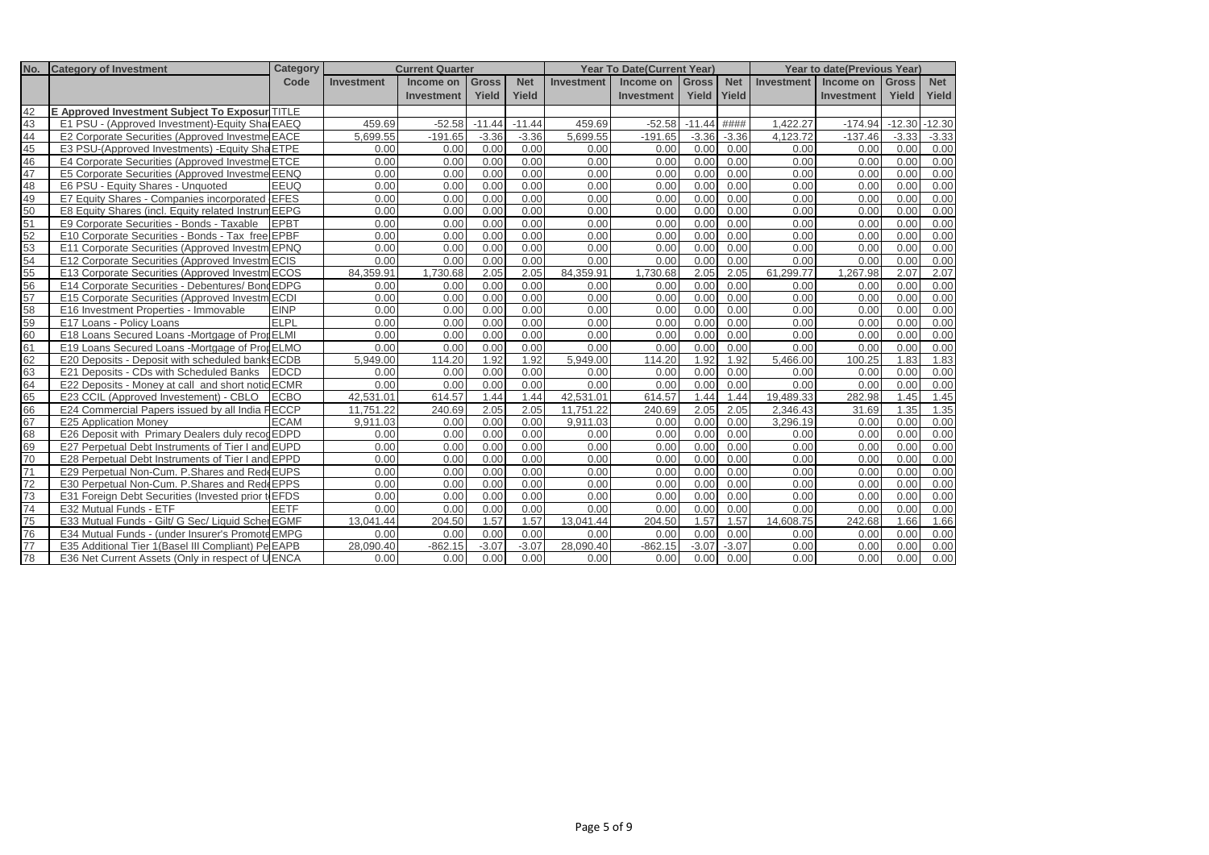| No. | <b>Category of Investment</b>                         | Category    |                   | <b>Current Quarter</b> |              |            |                   | <b>Year To Date(Current Year)</b> |              |             |            | <b>Year to date (Previous Year)</b> |              |            |
|-----|-------------------------------------------------------|-------------|-------------------|------------------------|--------------|------------|-------------------|-----------------------------------|--------------|-------------|------------|-------------------------------------|--------------|------------|
|     |                                                       | Code        | <b>Investment</b> | Income on              | <b>Gross</b> | <b>Net</b> | <b>Investment</b> | Income on                         | <b>Gross</b> | <b>Net</b>  | Investment | Income on                           | <b>Gross</b> | <b>Net</b> |
|     |                                                       |             |                   | <b>Investment</b>      | Yield        | Yield      |                   | <b>Investment</b>                 |              | Yield Yield |            | Investment                          | Yield        | Yield      |
| 42  | <b>E Approved Investment Subject To Exposur TITLE</b> |             |                   |                        |              |            |                   |                                   |              |             |            |                                     |              |            |
| 43  | E1 PSU - (Approved Investment)-Equity Shal EAEQ       |             | 459.69            | $-52.58$               | $-11.44$     | $-11.44$   | 459.69            | $-52.58$                          | $-11.44$     | ####        | 1.422.27   | $-174.94$                           | $-12.30$     | $-12.30$   |
| 44  | E2 Corporate Securities (Approved Investme EACE       |             | 5,699.55          | $-191.65$              | $-3.36$      | $-3.36$    | 5,699.55          | $-191.65$                         | $-3.36$      | $-3.36$     | 4,123.72   | $-137.46$                           | $-3.33$      | $-3.33$    |
| 45  | E3 PSU-(Approved Investments) - Equity Sha ETPE       |             | 0.00              | 0.00                   | 0.00         | 0.00       | 0.00              | 0.00                              | 0.00         | 0.00        | 0.00       | 0.00                                | 0.00         | 0.00       |
| 46  | E4 Corporate Securities (Approved Investme ETCE       |             | 0.00              | 0.00                   | 0.00         | 0.00       | 0.00              | 0.00                              | 0.00         | 0.00        | 0.00       | 0.00                                | 0.00         | 0.00       |
| 47  | E5 Corporate Securities (Approved Investme EENQ       |             | 0.00              | 0.00                   | 0.00         | 0.00       | 0.00              | 0.00                              | 0.00         | 0.00        | 0.00       | 0.00                                | 0.00         | 0.00       |
| 48  | E6 PSU - Equity Shares - Unquoted                     | EEUQ        | 0.00              | 0.00                   | 0.00         | 0.00       | 0.00              | 0.00                              | 0.00         | 0.00        | 0.00       | 0.00                                | 0.00         | 0.00       |
| 49  | E7 Equity Shares - Companies incorporated EFES        |             | 0.00              | 0.00                   | 0.00         | 0.00       | 0.00              | 0.00                              | 0.00         | 0.00        | 0.00       | 0.00                                | 0.00         | 0.00       |
| 50  | E8 Equity Shares (incl. Equity related Instrum EEPG   |             | 0.00              | 0.00                   | 0.00         | 0.00       | 0.00              | 0.00                              | 0.00         | 0.00        | 0.00       | 0.00                                | 0.00         | 0.00       |
| 51  | E9 Corporate Securities - Bonds - Taxable             | <b>EPBT</b> | 0.00              | 0.00                   | 0.00         | 0.00       | 0.00              | 0.00                              | 0.00         | 0.00        | 0.00       | 0.00                                | 0.00         | 0.00       |
| 52  | E10 Corporate Securities - Bonds - Tax free EPBF      |             | 0.00              | 0.00                   | 0.00         | 0.00       | 0.00              | 0.00                              | 0.00         | 0.00        | 0.00       | 0.00                                | 0.00         | 0.00       |
| 53  | E11 Corporate Securities (Approved Investm EPNQ       |             | 0.00              | 0.00                   | 0.00         | 0.00       | 0.00              | 0.00                              | 0.00         | 0.00        | 0.00       | 0.00                                | 0.00         | 0.00       |
| 54  | E12 Corporate Securities (Approved Investm ECIS       |             | 0.00              | 0.00                   | 0.00         | 0.00       | 0.00              | 0.00                              | 0.00         | 0.00        | 0.00       | 0.00                                | 0.00         | 0.00       |
| 55  | E13 Corporate Securities (Approved Investm ECOS       |             | 84.359.91         | 1,730.68               | 2.05         | 2.05       | 84,359.91         | 1,730.68                          | 2.05         | 2.05        | 61,299.77  | 1,267.98                            | 2.07         | 2.07       |
| 56  | E14 Corporate Securities - Debentures/ Bond EDPG      |             | 0.00              | 0.00                   | 0.00         | 0.00       | 0.00              | 0.00                              | 0.00         | 0.00        | 0.00       | 0.00                                | 0.00         | 0.00       |
| 57  | E15 Corporate Securities (Approved Investm ECDI       |             | 0.00              | 0.00                   | 0.00         | 0.00       | 0.00              | 0.00                              | 0.00         | 0.00        | 0.00       | 0.00                                | 0.00         | 0.00       |
| 58  | E16 Investment Properties - Immovable                 | <b>EINP</b> | 0.00              | 0.00                   | 0.00         | 0.00       | 0.00              | 0.00                              | 0.00         | 0.00        | 0.00       | 0.00                                | 0.00         | 0.00       |
| 59  | E17 Loans - Policy Loans                              | ELPL        | 0.00              | 0.00                   | 0.00         | 0.00       | 0.00              | 0.00                              | 0.00         | 0.00        | 0.00       | 0.00                                | 0.00         | 0.00       |
| 60  | E18 Loans Secured Loans - Mortgage of Prot ELMI       |             | 0.00              | 0.00                   | 0.00         | 0.00       | 0.00              | 0.00                              | 0.00         | 0.00        | 0.00       | 0.00                                | 0.00         | 0.00       |
| 61  | E19 Loans Secured Loans -Mortgage of Pror ELMO        |             | 0.00              | 0.00                   | 0.00         | 0.00       | 0.00              | 0.00                              | 0.00         | 0.00        | 0.00       | 0.00                                | 0.00         | 0.00       |
| 62  | E20 Deposits - Deposit with scheduled banks           | <b>ECDB</b> | 5.949.00          | 114.20                 | 1.92         | 1.92       | 5.949.00          | 114.20                            | 1.92         | 1.92        | 5.466.00   | 100.25                              | 1.83         | 1.83       |
| 63  | E21 Deposits - CDs with Scheduled Banks               | <b>EDCD</b> | 0.00              | 0.00                   | 0.00         | 0.00       | 0.00              | 0.00                              | 0.00         | 0.00        | 0.00       | 0.00                                | 0.00         | 0.00       |
| 64  | E22 Deposits - Money at call and short notic ECMR     |             | 0.00              | 0.00                   | 0.00         | 0.00       | 0.00              | 0.00                              | 0.00         | 0.00        | 0.00       | 0.00                                | 0.00         | 0.00       |
| 65  | E23 CCIL (Approved Investement) - CBLO                | <b>ECBO</b> | 42.531.01         | 614.57                 | 1.44         | 1.44       | 42.531.01         | 614.57                            | 1.44         | 1.44        | 19.489.33  | 282.98                              | 1.45         | 1.45       |
| 66  | E24 Commercial Papers issued by all India FECCP       |             | 11.751.22         | 240.69                 | 2.05         | 2.05       | 11.751.22         | 240.69                            | 2.05         | 2.05        | 2.346.43   | 31.69                               | 1.35         | 1.35       |
| 67  | E25 Application Money                                 | <b>ECAM</b> | 9,911.03          | 0.00                   | 0.00         | 0.00       | 9,911.03          | 0.00                              | 0.00         | 0.00        | 3,296.19   | 0.00                                | 0.00         | 0.00       |
| 68  | E26 Deposit with Primary Dealers duly recod EDPD      |             | 0.00              | 0.00                   | 0.00         | 0.00       | 0.00              | 0.00                              | 0.00         | 0.00        | 0.00       | 0.00                                | 0.00         | 0.00       |
| 69  | E27 Perpetual Debt Instruments of Tier I and EUPD     |             | 0.00              | 0.00                   | 0.00         | 0.00       | 0.00              | 0.00                              | 0.00         | 0.00        | 0.00       | 0.00                                | 0.00         | 0.00       |
| 70  | E28 Perpetual Debt Instruments of Tier I and EPPD     |             | 0.00              | 0.00                   | 0.00         | 0.00       | 0.00              | 0.00                              | 0.00         | 0.00        | 0.00       | 0.00                                | 0.00         | 0.00       |
| 71  | E29 Perpetual Non-Cum. P. Shares and Rede EUPS        |             | 0.00              | 0.00                   | 0.00         | 0.00       | 0.00              | 0.00                              | 0.00         | 0.00        | 0.00       | 0.00                                | 0.00         | 0.00       |
| 72  | E30 Perpetual Non-Cum. P. Shares and Rede EPPS        |             | 0.00              | 0.00                   | 0.00         | 0.00       | 0.00              | 0.00                              | 0.00         | 0.00        | 0.00       | 0.00                                | 0.00         | 0.00       |
| 73  | E31 Foreign Debt Securities (Invested prior to EFDS   |             | 0.00              | 0.00                   | 0.00         | 0.00       | 0.00              | 0.00                              | 0.00         | 0.00        | 0.00       | 0.00                                | 0.00         | 0.00       |
| 74  | E32 Mutual Funds - ETF                                | <b>EETF</b> | 0.00              | 0.00                   | 0.00         | 0.00       | 0.00              | 0.00                              | 0.00         | 0.00        | 0.00       | 0.00                                | 0.00         | 0.00       |
| 75  | E33 Mutual Funds - Gilt/ G Sec/ Liquid Scher EGMF     |             | 13.041.44         | 204.50                 | 1.57         | 1.57       | 13.041.44         | 204.50                            | 1.57         | 1.57        | 14.608.75  | 242.68                              | 1.66         | 1.66       |
| 76  | E34 Mutual Funds - (under Insurer's Promote EMPG      |             | 0.00              | 0.00                   | 0.00         | 0.00       | 0.00              | 0.00                              | 0.00         | 0.00        | 0.00       | 0.00                                | 0.00         | 0.00       |
| 77  | E35 Additional Tier 1 (Basel III Compliant) Pe EAPB   |             | 28.090.40         | $-862.15$              | $-3.07$      | $-3.07$    | 28.090.40         | $-862.15$                         | $-3.07$      | $-3.07$     | 0.00       | 0.00                                | 0.00         | 0.00       |
| 78  | E36 Net Current Assets (Only in respect of UENCA      |             | 0.00              | 0.00                   | 0.00         | 0.00       | 0.00              | 0.00                              | 0.00         | 0.00        | 0.00       | 0.00                                | 0.00         | 0.00       |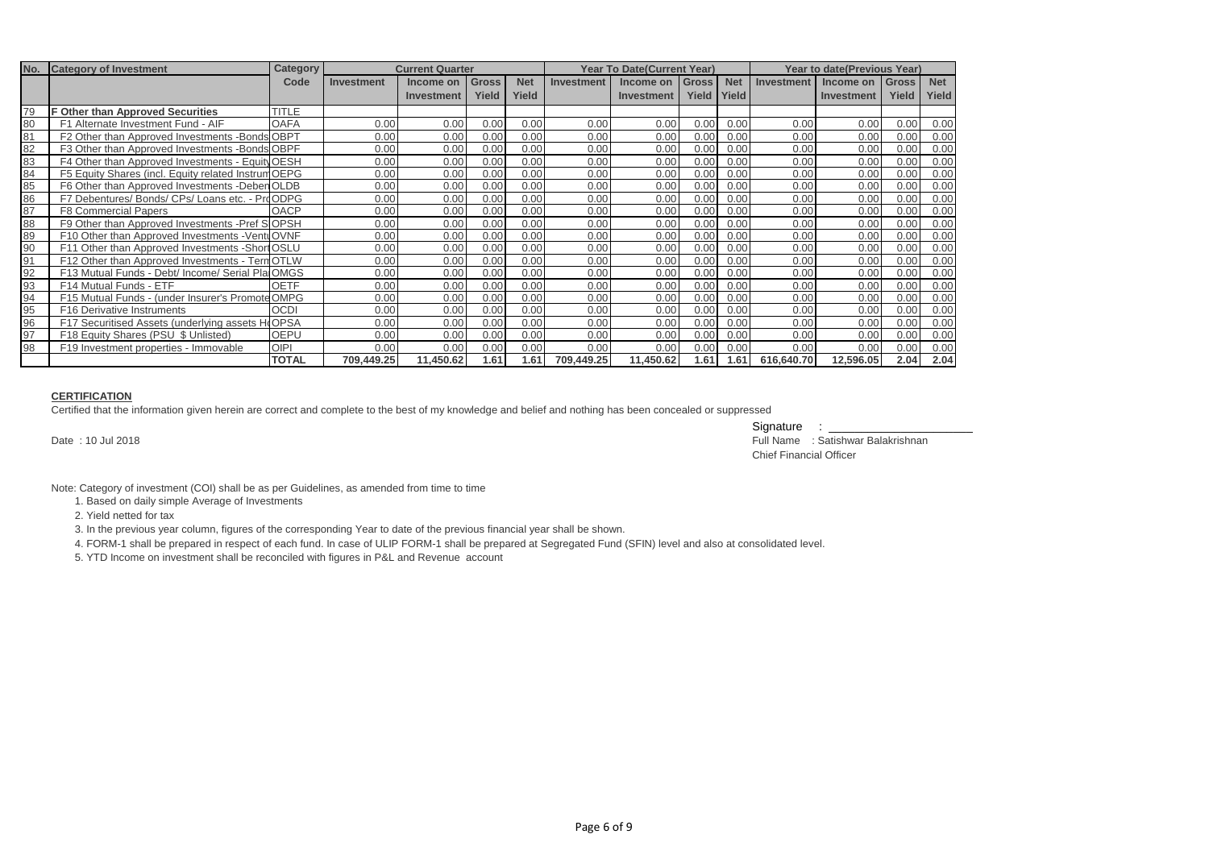| No. | <b>Category of Investment</b>                       | <b>Category</b> | <b>Current Quarter</b> |            |              |            | <b>Year To Date(Current Year)</b> |                   |                    |            | <b>Year to date(Previous Year)</b> |            |              |            |
|-----|-----------------------------------------------------|-----------------|------------------------|------------|--------------|------------|-----------------------------------|-------------------|--------------------|------------|------------------------------------|------------|--------------|------------|
|     |                                                     | Code            | Investment             | Income on  | <b>Gross</b> | <b>Net</b> | <b>Investment</b>                 | Income on         | Gross <sub>I</sub> | <b>Net</b> | Investment                         | Income on  | <b>Gross</b> | <b>Net</b> |
|     |                                                     |                 |                        | Investment | Yield        | Yield      |                                   | <b>Investment</b> | Yield              | Yield      |                                    | Investment | Yield        | Yield      |
| 79  | <b>F Other than Approved Securities</b>             | <b>TITLE</b>    |                        |            |              |            |                                   |                   |                    |            |                                    |            |              |            |
| 80  | F1 Alternate Investment Fund - AIF                  | <b>OAFA</b>     | 0.00                   | 0.00       | 0.00         | 0.00       | 0.00                              | 0.00              | 0.00               | 0.00       | 0.00                               | 0.00       | 0.00         | 0.00       |
| 81  | F2 Other than Approved Investments -Bonds OBPT      |                 | 0.00                   | 0.00       | 0.00         | 0.00       | 0.00                              | 0.00              | 0.00               | 0.00       | 0.00                               | 0.00       | 0.00         | 0.00       |
| 82  | F3 Other than Approved Investments - Bonds OBPF     |                 | 0.00                   | 0.00       | 0.00         | 0.00       | 0.00                              | 0.00              | 0.00               | 0.00       | 0.00                               | 0.00       | 0.00         | 0.00       |
| 83  | F4 Other than Approved Investments - Equity OESH    |                 | 0.00                   | 0.00       | 0.00         | 0.00       | 0.00                              | 0.00              | 0.00               | 0.00       | 0.00                               | 0.00       | 0.00         | 0.00       |
| 84  | F5 Equity Shares (incl. Equity related Instrum OEPG |                 | 0.00                   | 0.00       | 0.00         | 0.00       | 0.00                              | 0.00              | 0.00               | 0.00       | 0.00                               | 0.00       | 0.00         | 0.00       |
| 85  | F6 Other than Approved Investments -Deben OLDB      |                 | 0.00                   | 0.00       | 0.00         | 0.00       | 0.00                              | 0.00              | 0.00               | 0.00       | 0.00                               | 0.00       | 0.00         | 0.00       |
| 86  | F7 Debentures/ Bonds/ CPs/ Loans etc. - ProODPG     |                 | 0.00                   | 0.00       | 0.00         | 0.00       | 0.00                              | 0.00              | 0.00               | 0.00       | 0.00                               | 0.00       | 0.00         | 0.00       |
| 87  | <b>F8 Commercial Papers</b>                         | <b>OACP</b>     | 0.00                   | 0.00       | 0.00         | 0.00       | 0.00                              | 0.00              | 0.00               | 0.00       | 0.00                               | 0.00       | 0.00         | 0.00       |
| 88  | F9 Other than Approved Investments - Pref SOPSH     |                 | 0.00                   | 0.00       | 0.00         | 0.00       | 0.00                              | 0.00              | 0.00               | 0.00       | 0.00                               | 0.00       | 0.00         | 0.00       |
| 89  | F10 Other than Approved Investments - VentuOVNF     |                 | 0.00                   | 0.00       | 0.00         | 0.00       | 0.00                              | 0.00              | 0.00               | 0.00       | 0.00                               | 0.00       | 0.00         | 0.00       |
| 90  | F11 Other than Approved Investments - Short OSLU    |                 | 0.00                   | 0.00       | 0.00         | 0.00       | 0.00                              | 0.00              | 0.00               | 0.00       | 0.00                               | 0.00       | 0.00         | 0.00       |
| 91  | F12 Other than Approved Investments - Tern OTLW     |                 | 0.00                   | 0.00       | 0.00         | 0.00       | 0.00                              | 0.00              | 0.00               | 0.00       | 0.00                               | 0.00       | 0.00         | 0.00       |
| 92  | F13 Mutual Funds - Debt/ Income/ Serial Pla OMGS    |                 | 0.00                   | 0.00       | 0.00         | 0.00       | 0.00                              | 0.00              | 0.00               | 0.00       | 0.00                               | 0.00       | 0.00         | 0.00       |
| 93  | F14 Mutual Funds - ETF                              | <b>OETF</b>     | 0.00                   | 0.00       | 0.00         | 0.00       | 0.00                              | 0.00              | 0.00               | 0.00       | 0.00                               | 0.00       | 0.00         | 0.00       |
| 94  | F15 Mutual Funds - (under Insurer's Promote OMPG    |                 | 0.00                   | 0.00       | 0.00         | 0.00       | 0.00                              | 0.00              | 0.00               | 0.00       | 0.00                               | 0.00       | 0.00         | 0.00       |
| 95  | F16 Derivative Instruments                          | <b>OCDI</b>     | 0.00                   | 0.00       | 0.00         | 0.00       | 0.00                              | 0.00              | 0.00               | 0.00       | 0.00                               | 0.00       | 0.00         | 0.00       |
| 96  | F17 Securitised Assets (underlying assets HoOPSA    |                 | 0.00                   | 0.00       | 0.00         | 0.00       | 0.00                              | 0.00              | 0.00               | 0.00       | 0.00                               | 0.00       | 0.00         | 0.00       |
| 97  | F18 Equity Shares (PSU \$ Unlisted)                 | <b>OEPU</b>     | 0.00                   | 0.00       | 0.00         | 0.00       | 0.00                              | 0.00              | 0.00               | 0.00       | 0.00                               | 0.00       | 0.00         | 0.00       |
| 98  | F19 Investment properties - Immovable               | <b>OIPI</b>     | 0.00                   | 0.00       | 0.00         | 0.00       | 0.00                              | 0.00              | 0.00               | 0.00       | 0.00                               | 0.00       | 0.00         | 0.00       |
|     |                                                     | <b>TOTAL</b>    | 709,449.25             | 11,450.62  | 1.61         | 1.61       | 709,449.25                        | 11,450.62         | 1.61               | 1.61       | 616,640.70                         | 12,596.05  | 2.04         | 2.04       |

#### **CERTIFICATION**

Certified that the information given herein are correct and complete to the best of my knowledge and belief and nothing has been concealed or suppressed

Signature : \_\_\_\_\_ Date : 10 Jul 2018 Full Name : Satishwar Balakrishnan Chief Financial Officer

Note: Category of investment (COI) shall be as per Guidelines, as amended from time to time

1. Based on daily simple Average of Investments

2. Yield netted for tax

3. In the previous year column, figures of the corresponding Year to date of the previous financial year shall be shown.

4. FORM-1 shall be prepared in respect of each fund. In case of ULIP FORM-1 shall be prepared at Segregated Fund (SFIN) level and also at consolidated level.

5. YTD Income on investment shall be reconciled with figures in P&L and Revenue account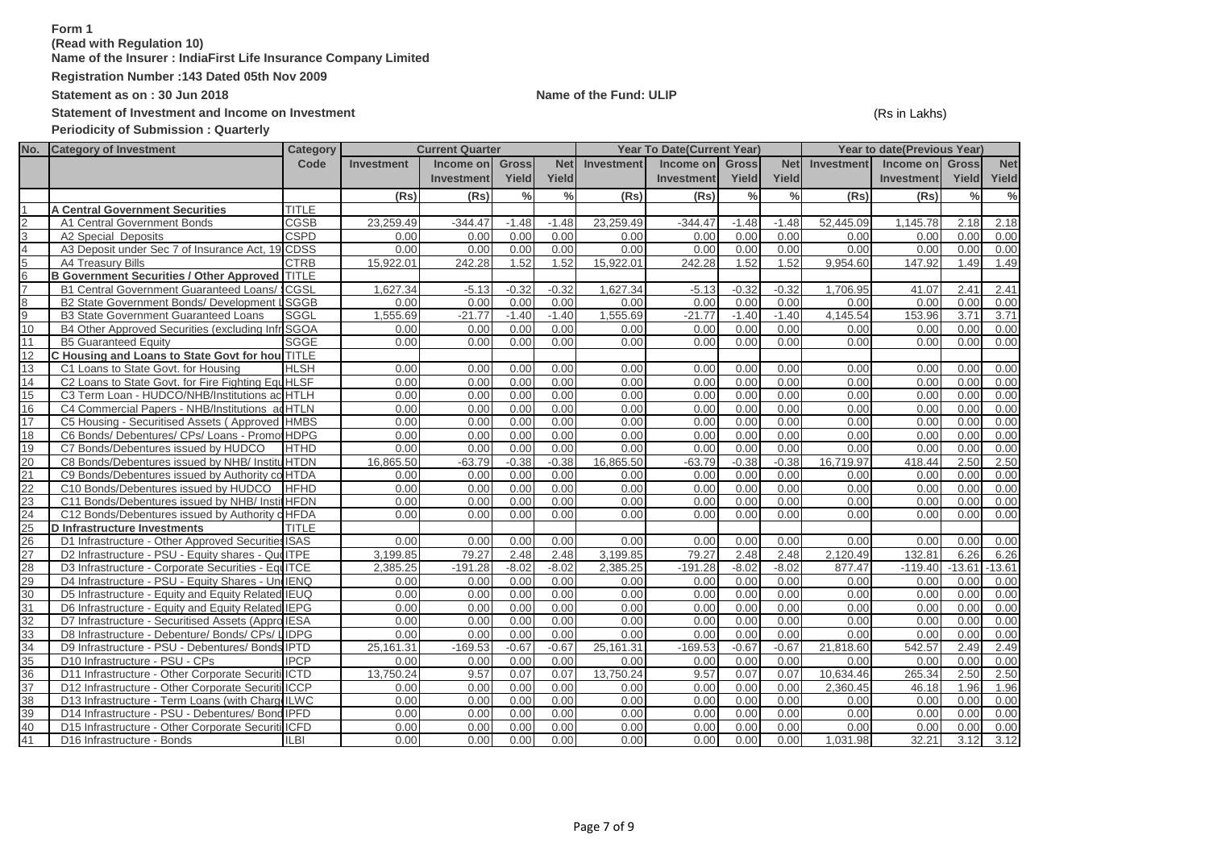# **Form 1**

**(Read with Regulation 10)**

**Name of the Insurer : IndiaFirst Life Insurance Company Limited**

**Registration Number :143 Dated 05th Nov 2009**

**Statement as on : 30 Jun 2018 Name of the Fund: ULIP**

Statement of Investment and Income on Investment **Statement** (Rs in Lakhs)

**Periodicity of Submission : Quarterly**

|                 | No. Category of Investment                            | Category     |                   | <b>Current Quarter</b> |               |               |            | <b>Year To Date(Current Year)</b> |               |               |                   | Year to date(Previous Year) |               |            |
|-----------------|-------------------------------------------------------|--------------|-------------------|------------------------|---------------|---------------|------------|-----------------------------------|---------------|---------------|-------------------|-----------------------------|---------------|------------|
|                 |                                                       | Code         | <b>Investment</b> | Income on              | <b>Gross</b>  | <b>Net</b>    | Investment | Income on                         | <b>Gross</b>  | <b>Net</b>    | <b>Investment</b> | Income on                   | <b>Gross</b>  | <b>Net</b> |
|                 |                                                       |              |                   | Investment             | Yield         | Yield         |            | <b>Investment</b>                 | Yield         | Yield         |                   | <b>Investment</b>           | Yield         | Yield      |
|                 |                                                       |              | (Rs)              | (Rs)                   | $\frac{0}{0}$ | $\frac{0}{2}$ | (Rs)       | (Rs)                              | $\frac{0}{0}$ | $\frac{0}{0}$ | (Rs)              | (Rs)                        | $\frac{0}{0}$ | $\%$       |
|                 | <b>A Central Government Securities</b>                | <b>TITLE</b> |                   |                        |               |               |            |                                   |               |               |                   |                             |               |            |
| 2               | A1 Central Government Bonds                           | <b>CGSB</b>  | 23,259.49         | $-344.47$              | $-1.48$       | $-1.48$       | 23,259.49  | $-344.47$                         | $-1.48$       | $-1.48$       | 52,445.09         | 1,145.78                    | 2.18          | 2.18       |
| 3               | A2 Special Deposits                                   | <b>CSPD</b>  | 0.00              | 0.00                   | 0.00          | 0.00          | 0.00       | 0.00                              | 0.00          | 0.00          | 0.00              | 0.00                        | 0.00          | 0.00       |
| 4               | A3 Deposit under Sec 7 of Insurance Act, 19 CDSS      |              | 0.00              | 0.00                   | 0.00          | 0.00          | 0.00       | 0.00                              | 0.00          | 0.00          | 0.00              | 0.00                        | 0.00          | 0.00       |
| 5               | A4 Treasury Bills                                     | <b>CTRB</b>  | 15.922.01         | 242.28                 | 1.52          | 1.52          | 15.922.01  | 242.28                            | 1.52          | 1.52          | 9.954.60          | 147.92                      | 1.49          | 1.49       |
| 6               | <b>B Government Securities / Other Approved TITLE</b> |              |                   |                        |               |               |            |                                   |               |               |                   |                             |               |            |
| 7               | <b>B1 Central Government Guaranteed Loans/ CGSL</b>   |              | 1,627.34          | $-5.13$                | $-0.32$       | $-0.32$       | 1,627.34   | $-5.13$                           | $-0.32$       | $-0.32$       | 1,706.95          | 41.07                       | 2.41          | 2.41       |
| 8               | B2 State Government Bonds/ Development LSGGB          |              | 0.00              | 0.00                   | 0.00          | 0.00          | 0.00       | 0.00                              | 0.00          | 0.00          | 0.00              | 0.00                        | 0.00          | 0.00       |
| 9               | <b>B3 State Government Guaranteed Loans</b>           | <b>SGGL</b>  | 1,555.69          | $-21.77$               | $-1.40$       | $-1.40$       | 1,555.69   | $-21.77$                          | $-1.40$       | $-1.40$       | 4,145.54          | 153.96                      | 3.71          | 3.71       |
| 10              | B4 Other Approved Securities (excluding Infr SGOA     |              | 0.00              | 0.00                   | 0.00          | 0.00          | 0.00       | 0.00                              | 0.00          | 0.00          | 0.00              | 0.00                        | 0.00          | 0.00       |
| 11              | <b>B5 Guaranteed Equity</b>                           | <b>SGGE</b>  | 0.00              | 0.00                   | 0.00          | 0.00          | 0.00       | 0.00                              | 0.00          | 0.00          | 0.00              | 0.00                        | 0.00          | 0.00       |
| 12              | C Housing and Loans to State Govt for hou TITLE       |              |                   |                        |               |               |            |                                   |               |               |                   |                             |               |            |
| 13              | C1 Loans to State Govt. for Housing                   | <b>HLSH</b>  | 0.00              | 0.00                   | 0.00          | 0.00          | 0.00       | 0.00                              | 0.00          | 0.00          | 0.00              | 0.00                        | 0.00          | 0.00       |
| 14              | C2 Loans to State Govt. for Fire Fighting Equ HLSF    |              | 0.00              | 0.00                   | 0.00          | 0.00          | 0.00       | 0.00                              | 0.00          | 0.00          | 0.00              | 0.00                        | 0.00          | 0.00       |
| 15              | C3 Term Loan - HUDCO/NHB/Institutions ac HTLH         |              | 0.00              | 0.00                   | 0.00          | 0.00          | 0.00       | 0.00                              | 0.00          | 0.00          | 0.00              | 0.00                        | 0.00          | 0.00       |
| 16              | C4 Commercial Papers - NHB/Institutions ad HTLN       |              | 0.00              | 0.00                   | 0.00          | 0.00          | 0.00       | 0.00                              | 0.00          | 0.00          | 0.00              | 0.00                        | 0.00          | 0.00       |
| 17              | C5 Housing - Securitised Assets (Approved HMBS        |              | 0.00              | 0.00                   | 0.00          | 0.00          | 0.00       | 0.00                              | 0.00          | 0.00          | 0.00              | 0.00                        | 0.00          | 0.00       |
| 18              | C6 Bonds/ Debentures/ CPs/ Loans - Promot HDPG        |              | 0.00              | 0.00                   | 0.00          | 0.00          | 0.00       | 0.00                              | 0.00          | 0.00          | 0.00              | 0.00                        | 0.00          | 0.00       |
| 19              | C7 Bonds/Debentures issued by HUDCO                   | <b>HTHD</b>  | 0.00              | 0.00                   | 0.00          | 0.00          | 0.00       | 0.00                              | 0.00          | 0.00          | 0.00              | 0.00                        | 0.00          | 0.00       |
| 20              | C8 Bonds/Debentures issued by NHB/ InstituHTDN        |              | 16.865.50         | $-63.79$               | $-0.38$       | $-0.38$       | 16.865.50  | $-63.79$                          | $-0.38$       | $-0.38$       | 16.719.97         | 418.44                      | 2.50          | 2.50       |
| 21              | C9 Bonds/Debentures issued by Authority co HTDA       |              | 0.00              | 0.00                   | 0.00          | 0.00          | 0.00       | 0.00                              | 0.00          | 0.00          | 0.00              | 0.00                        | 0.00          | 0.00       |
| 22              | C10 Bonds/Debentures issued by HUDCO                  | <b>HFHD</b>  | 0.00              | 0.00                   | 0.00          | 0.00          | 0.00       | 0.00                              | 0.00          | 0.00          | 0.00              | 0.00                        | 0.00          | 0.00       |
| 23              | C11 Bonds/Debentures issued by NHB/ InstitHFDN        |              | 0.00              | 0.00                   | 0.00          | 0.00          | 0.00       | 0.00                              | 0.00          | 0.00          | 0.00              | 0.00                        | 0.00          | 0.00       |
| 24              | C12 Bonds/Debentures issued by Authority o HFDA       |              | 0.00              | 0.00                   | 0.00          | 0.00          | 0.00       | 0.00                              | 0.00          | 0.00          | 0.00              | 0.00                        | 0.00          | 0.00       |
| 25              | D Infrastructure Investments                          | <b>TITLE</b> |                   |                        |               |               |            |                                   |               |               |                   |                             |               |            |
| 26              | D1 Infrastructure - Other Approved Securities ISAS    |              | 0.00              | 0.00                   | 0.00          | 0.00          | 0.00       | 0.00                              | 0.00          | 0.00          | 0.00              | 0.00                        | 0.00          | 0.00       |
| 27              | D2 Infrastructure - PSU - Equity shares - QueITPE     |              | 3,199.85          | 79.27                  | 2.48          | 2.48          | 3,199.85   | 79.27                             | 2.48          | 2.48          | 2.120.49          | 132.81                      | 6.26          | 6.26       |
| 28              | D3 Infrastructure - Corporate Securities - EquITCE    |              | 2.385.25          | $-191.28$              | $-8.02$       | $-8.02$       | 2.385.25   | $-191.28$                         | $-8.02$       | $-8.02$       | 877.47            | $-119.40$                   | $-13.61$      | $-13.61$   |
| 29              | D4 Infrastructure - PSU - Equity Shares - UndENQ      |              | 0.00              | 0.00                   | 0.00          | 0.00          | 0.00       | 0.00                              | 0.00          | 0.00          | 0.00              | 0.00                        | 0.00          | 0.00       |
| $\overline{30}$ | D5 Infrastructure - Equity and Equity Related IEUQ    |              | 0.00              | 0.00                   | 0.00          | 0.00          | 0.00       | 0.00                              | 0.00          | 0.00          | 0.00              | 0.00                        | 0.00          | 0.00       |
| 31              | D6 Infrastructure - Equity and Equity Related IEPG    |              | 0.00              | 0.00                   | 0.00          | 0.00          | 0.00       | 0.00                              | 0.00          | 0.00          | 0.00              | 0.00                        | 0.00          | 0.00       |
| 32              | D7 Infrastructure - Securitised Assets (Appro IESA    |              | 0.00              | 0.00                   | 0.00          | 0.00          | 0.00       | 0.00                              | 0.00          | 0.00          | 0.00              | 0.00                        | 0.00          | 0.00       |
| 33              | D8 Infrastructure - Debenture/ Bonds/ CPs/ LIDPG      |              | 0.00              | 0.00                   | 0.00          | 0.00          | 0.00       | 0.00                              | 0.00          | 0.00          | 0.00              | 0.00                        | 0.00          | 0.00       |
| 34              | D9 Infrastructure - PSU - Debentures/ Bonds IPTD      |              | 25,161.31         | $-169.53$              | $-0.67$       | $-0.67$       | 25.161.31  | $-169.53$                         | $-0.67$       | $-0.67$       | 21,818.60         | 542.57                      | 2.49          | 2.49       |
| 35              | D10 Infrastructure - PSU - CPs                        | <b>IPCP</b>  | 0.00              | 0.00                   | 0.00          | 0.00          | 0.00       | 0.00                              | 0.00          | 0.00          | 0.00              | 0.00                        | 0.00          | 0.00       |
| 36              | D11 Infrastructure - Other Corporate Securiti ICTD    |              | 13,750.24         | 9.57                   | 0.07          | 0.07          | 13,750.24  | 9.57                              | 0.07          | 0.07          | 10.634.46         | 265.34                      | 2.50          | 2.50       |
| 37              | D12 Infrastructure - Other Corporate Securiti ICCP    |              | 0.00              | 0.00                   | 0.00          | 0.00          | 0.00       | 0.00                              | 0.00          | 0.00          | 2.360.45          | 46.18                       | 1.96          | 1.96       |
| 38              | D13 Infrastructure - Term Loans (with ChargeILWC      |              | 0.00              | 0.00                   | 0.00          | 0.00          | 0.00       | 0.00                              | 0.00          | 0.00          | 0.00              | 0.00                        | 0.00          | 0.00       |
| 39              | D14 Infrastructure - PSU - Debentures/ Bond IPFD      |              | 0.00              | 0.00                   | 0.00          | 0.00          | 0.00       | 0.00                              | 0.00          | 0.00          | 0.00              | 0.00                        | 0.00          | 0.00       |
| 40              | D15 Infrastructure - Other Corporate Securiti ICFD    |              | 0.00              | 0.00                   | 0.00          | 0.00          | 0.00       | 0.00                              | 0.00          | 0.00          | 0.00              | 0.00                        | 0.00          | 0.00       |
| 41              | D16 Infrastructure - Bonds                            | <b>ILBI</b>  | 0.00              | 0.00                   | 0.00          | 0.00          | 0.00       | 0.00                              | 0.00          | 0.00          | 1,031.98          | 32.21                       | 3.12          | 3.12       |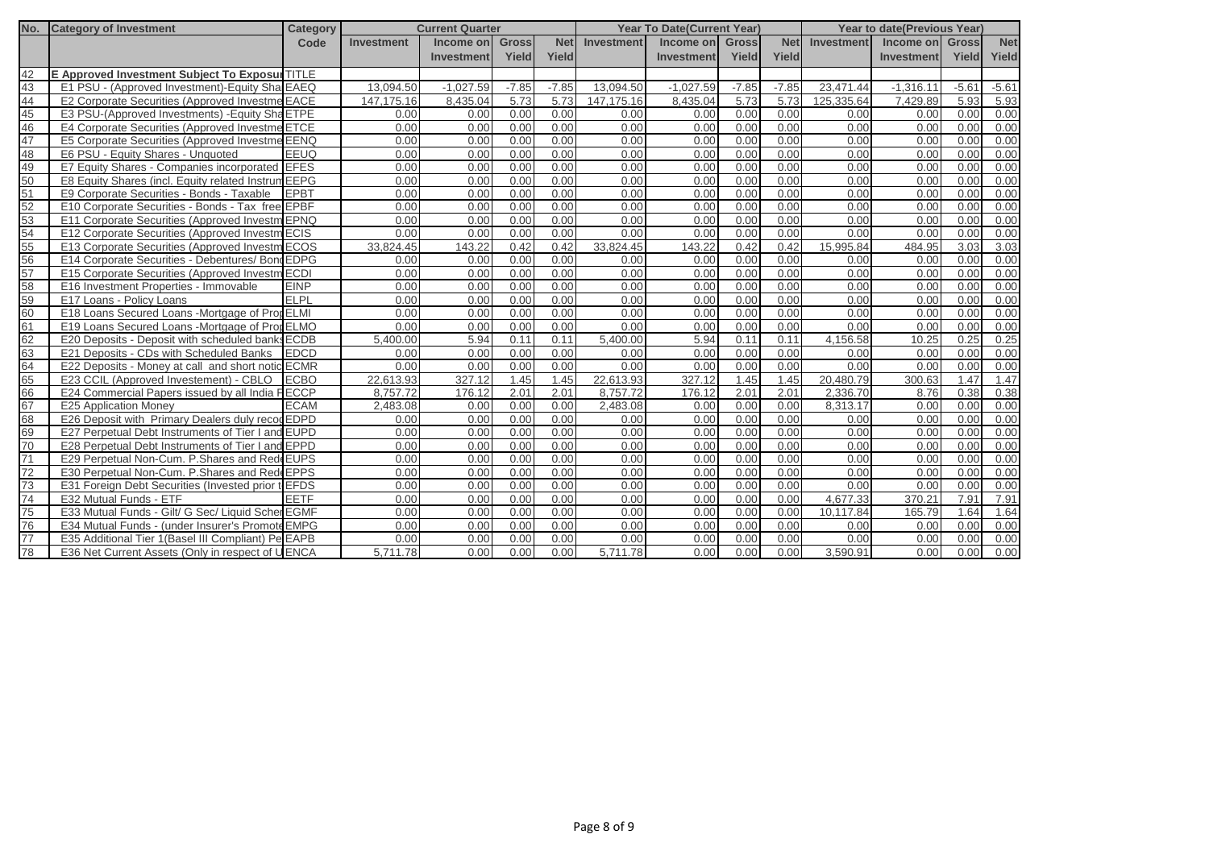| No. | <b>Category of Investment</b>                       | <b>Category</b> |            | <b>Current Quarter</b> |              |            |                   | <b>Year To Date (Current Year)</b> |              |            |                   | <b>Year to date (Previous Year)</b> |         |            |
|-----|-----------------------------------------------------|-----------------|------------|------------------------|--------------|------------|-------------------|------------------------------------|--------------|------------|-------------------|-------------------------------------|---------|------------|
|     |                                                     | Code            | Investment | Income on              | <b>Gross</b> | <b>Net</b> | <b>Investment</b> | Income on                          | <b>Gross</b> | <b>Net</b> | <b>Investment</b> | Income on Gross                     |         | <b>Net</b> |
|     |                                                     |                 |            | <b>Investment</b>      | Yield        | Yield      |                   | <b>Investment</b>                  | Yield        | Yield      |                   | Investment                          | Yield   | Yield      |
| 42  | E Approved Investment Subject To Exposur TITLE      |                 |            |                        |              |            |                   |                                    |              |            |                   |                                     |         |            |
| 43  | E1 PSU - (Approved Investment)-Equity Sha EAEQ      |                 | 13.094.50  | $-1.027.59$            | $-7.85$      | $-7.85$    | 13.094.50         | $-1.027.59$                        | $-7.85$      | $-7.85$    | 23.471.44         | $-1.316.11$                         | $-5.61$ | $-5.61$    |
| 44  | E2 Corporate Securities (Approved Investme EACE     |                 | 147.175.16 | 8.435.04               | 5.73         | 5.73       | 147.175.16        | 8.435.04                           | 5.73         | 5.73       | 125.335.64        | 7.429.89                            | 5.93    | 5.93       |
| 45  | E3 PSU-(Approved Investments) - Equity Sha ETPE     |                 | 0.00       | 0.00                   | 0.00         | 0.00       | 0.00              | 0.00                               | 0.00         | 0.00       | 0.00              | 0.00                                | 0.00    | 0.00       |
| 46  | E4 Corporate Securities (Approved Investme ETCE     |                 | 0.00       | 0.00                   | 0.00         | 0.00       | 0.00              | 0.00                               | 0.00         | 0.00       | 0.00              | 0.00                                | 0.00    | 0.00       |
| 47  | E5 Corporate Securities (Approved Investme EENQ     |                 | 0.00       | 0.00                   | 0.00         | 0.00       | 0.00              | 0.00                               | 0.00         | 0.00       | 0.00              | 0.00                                | 0.00    | 0.00       |
| 48  | E6 PSU - Equity Shares - Unquoted                   | <b>EEUQ</b>     | 0.00       | 0.00                   | 0.00         | 0.00       | 0.00              | 0.00                               | 0.00         | 0.00       | 0.00              | 0.00                                | 0.00    | 0.00       |
| 49  | E7 Equity Shares - Companies incorporated EFES      |                 | 0.00       | 0.00                   | 0.00         | 0.00       | 0.00              | 0.00                               | 0.00         | 0.00       | 0.00              | 0.00                                | 0.00    | 0.00       |
| 50  | E8 Equity Shares (incl. Equity related Instrum EEPG |                 | 0.00       | 0.00                   | 0.00         | 0.00       | 0.00              | 0.00                               | 0.00         | 0.00       | 0.00              | 0.00                                | 0.00    | 0.00       |
| 51  | E9 Corporate Securities - Bonds - Taxable           | <b>EPBT</b>     | 0.00       | 0.00                   | 0.00         | 0.00       | 0.00              | 0.00                               | 0.00         | 0.00       | 0.00              | 0.00                                | 0.00    | 0.00       |
| 52  | E10 Corporate Securities - Bonds - Tax free EPBF    |                 | 0.00       | 0.00                   | 0.00         | 0.00       | 0.00              | 0.00                               | 0.00         | 0.00       | 0.00              | 0.00                                | 0.00    | 0.00       |
| 53  | E11 Corporate Securities (Approved Investm EPNQ     |                 | 0.00       | 0.00                   | 0.00         | 0.00       | 0.00              | 0.00                               | 0.00         | 0.00       | 0.00              | 0.00                                | 0.00    | 0.00       |
| 54  | E12 Corporate Securities (Approved Investm ECIS     |                 | 0.00       | 0.00                   | 0.00         | 0.00       | 0.00              | 0.00                               | 0.00         | 0.00       | 0.00              | 0.00                                | 0.00    | 0.00       |
| 55  | E13 Corporate Securities (Approved Investm ECOS     |                 | 33.824.45  | 143.22                 | 0.42         | 0.42       | 33,824.45         | 143.22                             | 0.42         | 0.42       | 15,995.84         | 484.95                              | 3.03    | 3.03       |
| 56  | E14 Corporate Securities - Debentures/ Bond EDPG    |                 | 0.00       | 0.00                   | 0.00         | 0.00       | 0.00              | 0.00                               | 0.00         | 0.00       | 0.00              | 0.00                                | 0.00    | 0.00       |
| 57  | E15 Corporate Securities (Approved Investm ECDI     |                 | 0.00       | 0.00                   | 0.00         | 0.00       | 0.00              | 0.00                               | 0.00         | 0.00       | 0.00              | 0.00                                | 0.00    | 0.00       |
| 58  | E16 Investment Properties - Immovable               | <b>EINP</b>     | 0.00       | 0.00                   | 0.00         | 0.00       | 0.00              | 0.00                               | 0.00         | 0.00       | 0.00              | 0.00                                | 0.00    | 0.00       |
| 59  | E17 Loans - Policy Loans                            | ELPL            | 0.00       | 0.00                   | 0.00         | 0.00       | 0.00              | 0.00                               | 0.00         | 0.00       | 0.00              | 0.00                                | 0.00    | 0.00       |
| 60  | E18 Loans Secured Loans - Mortgage of Prot ELMI     |                 | 0.00       | 0.00                   | 0.00         | 0.00       | 0.00              | 0.00                               | 0.00         | 0.00       | 0.00              | 0.00                                | 0.00    | 0.00       |
| 61  | E19 Loans Secured Loans -Mortgage of PropELMO       |                 | 0.00       | 0.00                   | 0.00         | 0.00       | 0.00              | 0.00                               | 0.00         | 0.00       | 0.00              | 0.00                                | 0.00    | 0.00       |
| 62  | E20 Deposits - Deposit with scheduled banks ECDB    |                 | 5.400.00   | 5.94                   | 0.11         | 0.11       | 5.400.00          | 5.94                               | 0.11         | 0.11       | 4,156.58          | 10.25                               | 0.25    | 0.25       |
| 63  | E21 Deposits - CDs with Scheduled Banks             | <b>EDCD</b>     | 0.00       | 0.00                   | 0.00         | 0.00       | 0.00              | 0.00                               | 0.00         | 0.00       | 0.00              | 0.00                                | 0.00    | 0.00       |
| 64  | E22 Deposits - Money at call and short notic ECMR   |                 | 0.00       | 0.00                   | 0.00         | 0.00       | 0.00              | 0.00                               | 0.00         | 0.00       | 0.00              | 0.00                                | 0.00    | 0.00       |
| 65  | E23 CCIL (Approved Investement) - CBLO              | <b>ECBO</b>     | 22.613.93  | 327.12                 | 1.45         | 1.45       | 22.613.93         | 327.12                             | 1.45         | 1.45       | 20,480.79         | 300.63                              | 1.47    | 1.47       |
| 66  | E24 Commercial Papers issued by all India FECCP     |                 | 8.757.72   | 176.12                 | 2.01         | 2.01       | 8,757.72          | 176.12                             | 2.01         | 2.01       | 2,336.70          | 8.76                                | 0.38    | 0.38       |
| 67  | <b>E25 Application Money</b>                        | <b>ECAM</b>     | 2,483.08   | 0.00                   | 0.00         | 0.00       | 2,483.08          | 0.00                               | 0.00         | 0.00       | 8,313.17          | 0.00                                | 0.00    | 0.00       |
| 68  | E26 Deposit with Primary Dealers duly recod EDPD    |                 | 0.00       | 0.00                   | 0.00         | 0.00       | 0.00              | 0.00                               | 0.00         | 0.00       | 0.00              | 0.00                                | 0.00    | 0.00       |
| 69  | E27 Perpetual Debt Instruments of Tier I and EUPD   |                 | 0.00       | 0.00                   | 0.00         | 0.00       | 0.00              | 0.00                               | 0.00         | 0.00       | 0.00              | 0.00                                | 0.00    | 0.00       |
| 70  | E28 Perpetual Debt Instruments of Tier I and EPPD   |                 | 0.00       | 0.00                   | 0.00         | 0.00       | 0.00              | 0.00                               | 0.00         | 0.00       | 0.00              | 0.00                                | 0.00    | 0.00       |
| 71  | E29 Perpetual Non-Cum. P. Shares and Rede EUPS      |                 | 0.00       | 0.00                   | 0.00         | 0.00       | 0.00              | 0.00                               | 0.00         | 0.00       | 0.00              | 0.00                                | 0.00    | 0.00       |
| 72  | E30 Perpetual Non-Cum. P. Shares and Rede EPPS      |                 | 0.00       | 0.00                   | 0.00         | 0.00       | 0.00              | 0.00                               | 0.00         | 0.00       | 0.00              | 0.00                                | 0.00    | 0.00       |
| 73  | E31 Foreign Debt Securities (Invested prior to EFDS |                 | 0.00       | 0.00                   | 0.00         | 0.00       | 0.00              | 0.00                               | 0.00         | 0.00       | 0.00              | 0.00                                | 0.00    | 0.00       |
| 74  | E32 Mutual Funds - ETF                              | <b>EETF</b>     | 0.00       | 0.00                   | 0.00         | 0.00       | 0.00              | 0.00                               | 0.00         | 0.00       | 4.677.33          | 370.21                              | 7.91    | 7.91       |
| 75  | E33 Mutual Funds - Gilt/ G Sec/ Liquid Scher EGMF   |                 | 0.00       | 0.00                   | 0.00         | 0.00       | 0.00              | 0.00                               | 0.00         | 0.00       | 10.117.84         | 165.79                              | 1.64    | 1.64       |
| 76  | E34 Mutual Funds - (under Insurer's Promote EMPG    |                 | 0.00       | 0.00                   | 0.00         | 0.00       | 0.00              | 0.00                               | 0.00         | 0.00       | 0.00              | 0.00                                | 0.00    | 0.00       |
| 77  | E35 Additional Tier 1 (Basel III Compliant) Pe EAPB |                 | 0.00       | 0.00                   | 0.00         | 0.00       | 0.00              | 0.00                               | 0.00         | 0.00       | 0.00              | 0.00                                | 0.00    | 0.00       |
| 78  | E36 Net Current Assets (Only in respect of UENCA    |                 | 5.711.78   | 0.00                   | 0.00         | 0.00       | 5,711.78          | 0.00                               | 0.00         | 0.00       | 3,590.91          | 0.00                                | 0.00    | 0.00       |